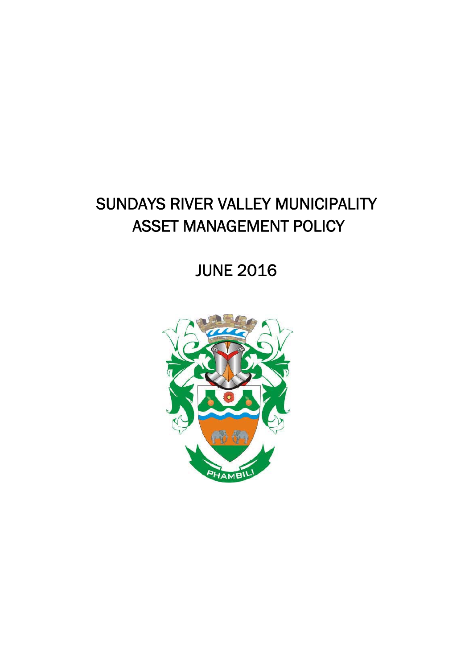JUNE 2016

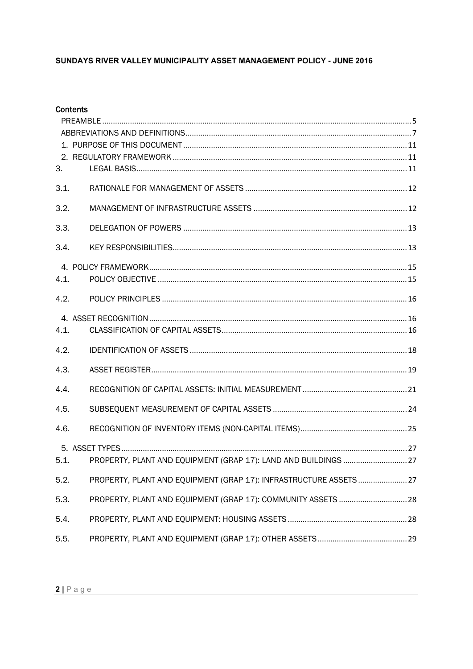|      | <b>Contents</b>                                                    |  |
|------|--------------------------------------------------------------------|--|
|      |                                                                    |  |
|      |                                                                    |  |
|      |                                                                    |  |
| 3.   |                                                                    |  |
| 3.1. |                                                                    |  |
| 3.2. |                                                                    |  |
| 3.3. |                                                                    |  |
| 3.4. |                                                                    |  |
|      |                                                                    |  |
| 4.1. |                                                                    |  |
| 4.2. |                                                                    |  |
|      |                                                                    |  |
| 4.1. |                                                                    |  |
| 4.2. |                                                                    |  |
| 4.3. |                                                                    |  |
| 4.4. |                                                                    |  |
| 4.5. |                                                                    |  |
| 4.6. |                                                                    |  |
|      |                                                                    |  |
| 5.1. | PROPERTY, PLANT AND EQUIPMENT (GRAP 17): LAND AND BUILDINGS  27    |  |
| 5.2. | PROPERTY, PLANT AND EQUIPMENT (GRAP 17): INFRASTRUCTURE ASSETS  27 |  |
| 5.3. | PROPERTY, PLANT AND EQUIPMENT (GRAP 17): COMMUNITY ASSETS  28      |  |
| 5.4. |                                                                    |  |
| 5.5. |                                                                    |  |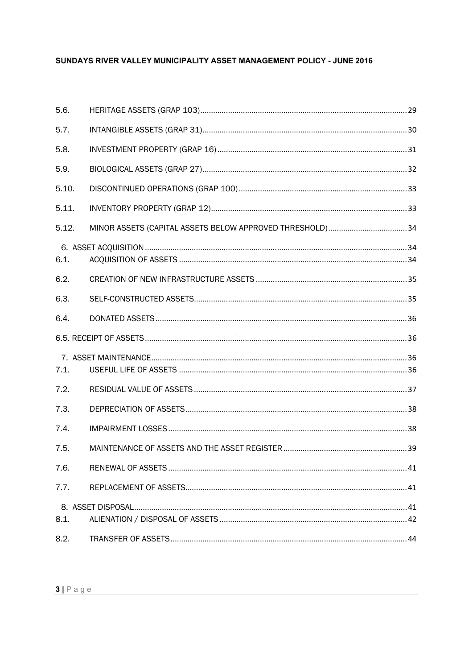| 5.6.  |  |
|-------|--|
| 5.7.  |  |
| 5.8.  |  |
| 5.9.  |  |
| 5.10. |  |
| 5.11. |  |
| 5.12. |  |
| 6.1.  |  |
| 6.2.  |  |
| 6.3.  |  |
| 6.4.  |  |
|       |  |
|       |  |
| 7.1.  |  |
| 7.2.  |  |
| 7.3.  |  |
| 7.4.  |  |
| 7.5.  |  |
| 7.6.  |  |
| 7.7.  |  |
|       |  |
| 8.1.  |  |
| 8.2.  |  |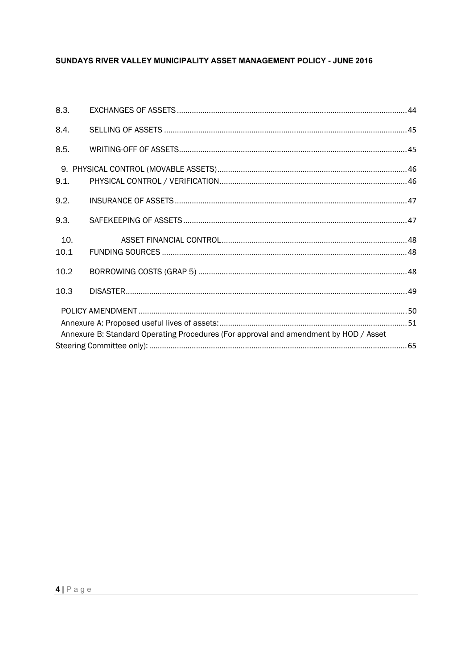| 8.3. |                                                                                      |  |
|------|--------------------------------------------------------------------------------------|--|
| 8.4. |                                                                                      |  |
| 8.5. |                                                                                      |  |
|      |                                                                                      |  |
| 9.1. |                                                                                      |  |
| 9.2. |                                                                                      |  |
| 9.3. |                                                                                      |  |
| 10.  |                                                                                      |  |
| 10.1 |                                                                                      |  |
| 10.2 |                                                                                      |  |
| 10.3 |                                                                                      |  |
|      |                                                                                      |  |
|      |                                                                                      |  |
|      | Annexure B: Standard Operating Procedures (For approval and amendment by HOD / Asset |  |
|      |                                                                                      |  |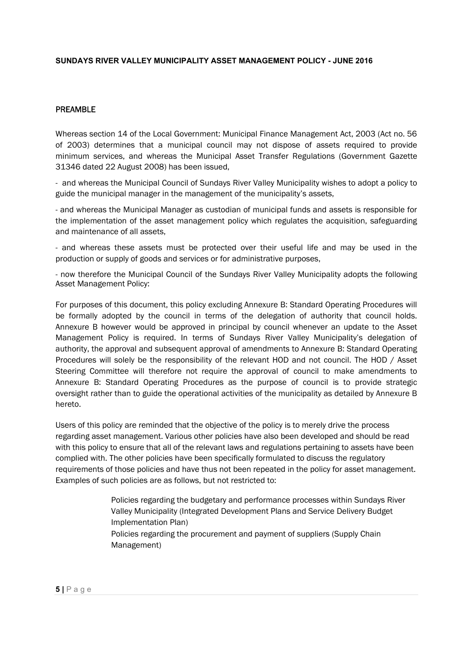## PREAMBLE

Whereas section 14 of the Local Government: Municipal Finance Management Act, 2003 (Act no. 56 of 2003) determines that a municipal council may not dispose of assets required to provide minimum services, and whereas the Municipal Asset Transfer Regulations (Government Gazette 31346 dated 22 August 2008) has been issued,

- and whereas the Municipal Council of Sundays River Valley Municipality wishes to adopt a policy to guide the municipal manager in the management of the municipality's assets,

- and whereas the Municipal Manager as custodian of municipal funds and assets is responsible for the implementation of the asset management policy which regulates the acquisition, safeguarding and maintenance of all assets,

- and whereas these assets must be protected over their useful life and may be used in the production or supply of goods and services or for administrative purposes,

- now therefore the Municipal Council of the Sundays River Valley Municipality adopts the following Asset Management Policy:

Management Policy is required. In terms of Sundays River Valley Municipality's delegation of For purposes of this document, this policy excluding Annexure B: Standard Operating Procedures will be formally adopted by the council in terms of the delegation of authority that council holds. Annexure B however would be approved in principal by council whenever an update to the Asset authority, the approval and subsequent approval of amendments to Annexure B: Standard Operating Procedures will solely be the responsibility of the relevant HOD and not council. The HOD / Asset Steering Committee will therefore not require the approval of council to make amendments to Annexure B: Standard Operating Procedures as the purpose of council is to provide strategic oversight rather than to guide the operational activities of the municipality as detailed by Annexure B hereto.

Users of this policy are reminded that the objective of the policy is to merely drive the process regarding asset management. Various other policies have also been developed and should be read with this policy to ensure that all of the relevant laws and regulations pertaining to assets have been complied with. The other policies have been specifically formulated to discuss the regulatory requirements of those policies and have thus not been repeated in the policy for asset management. Examples of such policies are as follows, but not restricted to:

> Policies regarding the budgetary and performance processes within Sundays River Valley Municipality (Integrated Development Plans and Service Delivery Budget Implementation Plan) Policies regarding the procurement and payment of suppliers (Supply Chain Management)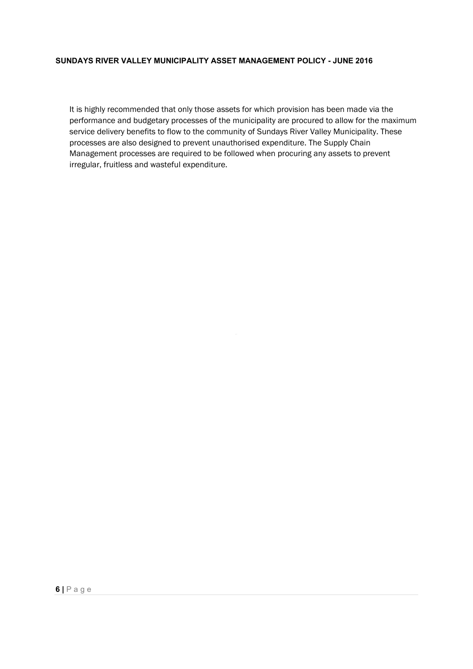It is highly recommended that only those assets for which provision has been made via the performance and budgetary processes of the municipality are procured to allow for the maximum service delivery benefits to flow to the community of Sundays River Valley Municipality. These processes are also designed to prevent unauthorised expenditure. The Supply Chain Management processes are required to be followed when procuring any assets to prevent irregular, fruitless and wasteful expenditure.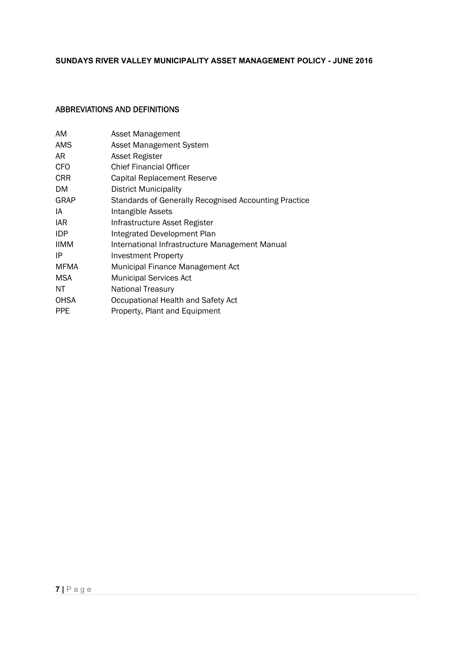## ABBREVIATIONS AND DEFINITIONS

| AM          | Asset Management                                      |
|-------------|-------------------------------------------------------|
| <b>AMS</b>  | Asset Management System                               |
| AR          | Asset Register                                        |
| CFO         | <b>Chief Financial Officer</b>                        |
| <b>CRR</b>  | Capital Replacement Reserve                           |
| DM.         | District Municipality                                 |
| GRAP        | Standards of Generally Recognised Accounting Practice |
| IA          | Intangible Assets                                     |
| IAR.        | Infrastructure Asset Register                         |
| <b>IDP</b>  | Integrated Development Plan                           |
| <b>IIMM</b> | International Infrastructure Management Manual        |
| IP          | Investment Property                                   |
| MFMA        | Municipal Finance Management Act                      |
| <b>MSA</b>  | <b>Municipal Services Act</b>                         |
| ΝT          | <b>National Treasury</b>                              |
| <b>OHSA</b> | Occupational Health and Safety Act                    |
| <b>PPE</b>  | Property, Plant and Equipment                         |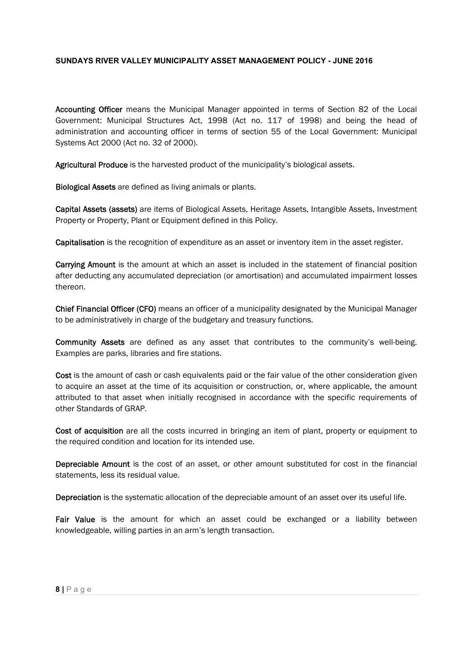Accounting Officer means the Municipal Manager appointed in terms of Section 82 of the Local Government: Municipal Structures Act, 1998 (Act no. 117 of 1998) and being the head of administration and accounting officer in terms of section 55 of the Local Government: Municipal Systems Act 2000 (Act no. 32 of 2000).

Agricultural Produce is the harvested product of the municipality's biological assets.

Biological Assets are defined as living animals or plants.

Capital Assets (assets) are items of Biological Assets, Heritage Assets, Intangible Assets, Investment Property or Property, Plant or Equipment defined in this Policy.

Capitalisation is the recognition of expenditure as an asset or inventory item in the asset register.

Carrying Amount is the amount at which an asset is included in the statement of financial position after deducting any accumulated depreciation (or amortisation) and accumulated impairment losses thereon.

Chief Financial Officer (CFO) means an officer of a municipality designated by the Municipal Manager to be administratively in charge of the budgetary and treasury functions.

Community Assets are defined as any asset that contributes to the community's well-being. Examples are parks, libraries and fire stations.

Cost is the amount of cash or cash equivalents paid or the fair value of the other consideration given to acquire an asset at the time of its acquisition or construction, or, where applicable, the amount attributed to that asset when initially recognised in accordance with the specific requirements of other Standards of GRAP.

Cost of acquisition are all the costs incurred in bringing an item of plant, property or equipment to the required condition and location for its intended use.

Depreciable Amount is the cost of an asset, or other amount substituted for cost in the financial statements, less its residual value.

Depreciation is the systematic allocation of the depreciable amount of an asset over its useful life.

Fair Value is the amount for which an asset could be exchanged or a liability between knowledgeable, willing parties in an arm's length transaction.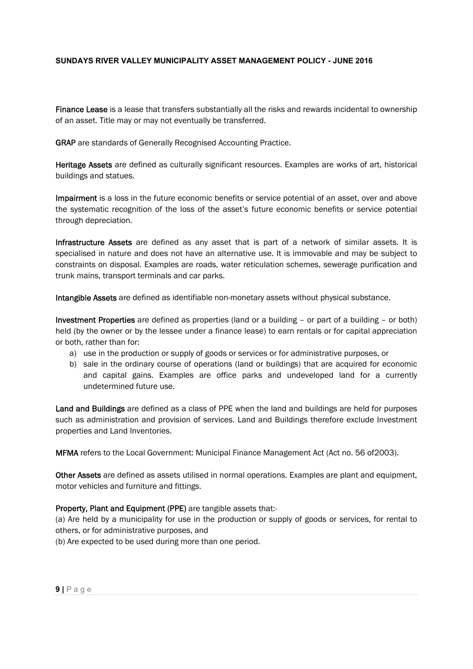Finance Lease is a lease that transfers substantially all the risks and rewards incidental to ownership of an asset. Title may or may not eventually be transferred.

GRAP are standards of Generally Recognised Accounting Practice.

Heritage Assets are defined as culturally significant resources. Examples are works of art, historical buildings and statues.

Impairment is a loss in the future economic benefits or service potential of an asset, over and above the systematic recognition of the loss of the asset's future economic benefits or service potential through depreciation.

Infrastructure Assets are defined as any asset that is part of a network of similar assets. It is specialised in nature and does not have an alternative use. It is immovable and may be subject to constraints on disposal. Examples are roads, water reticulation schemes, sewerage purification and trunk mains, transport terminals and car parks.

Intangible Assets are defined as identifiable non-monetary assets without physical substance.

held (by the owner or by the lessee under a finance lease) to earn rentals or for capital appreciation Investment Properties are defined as properties (land or a building – or part of a building – or both) or both, rather than for:

- a) use in the production or supply of goods or services or for administrative purposes, or
- b) sale in the ordinary course of operations (land or buildings) that are acquired for economic and capital gains. Examples are office parks and undeveloped land for a currently undetermined future use.

Land and Buildings are defined as a class of PPE when the land and buildings are held for purposes such as administration and provision of services. Land and Buildings therefore exclude Investment properties and Land Inventories.

MFMA refers to the Local Government: Municipal Finance Management Act (Act no. 56 of2003).

Other Assets are defined as assets utilised in normal operations. Examples are plant and equipment, motor vehicles and furniture and fittings.

## Property, Plant and Equipment (PPE) are tangible assets that:-

(a) Are held by a municipality for use in the production or supply of goods or services, for rental to others, or for administrative purposes, and

(b) Are expected to be used during more than one period.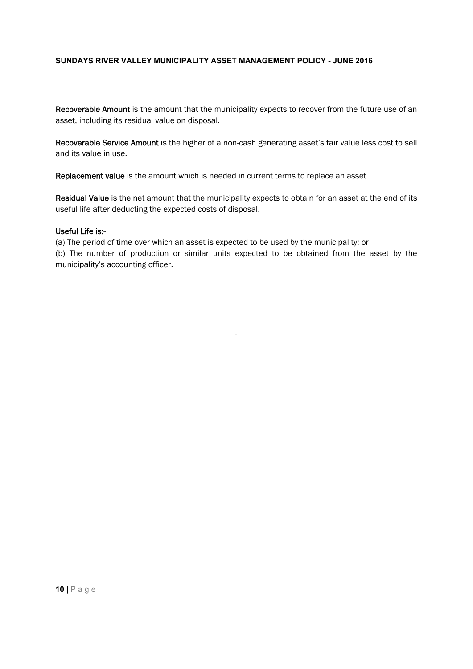Recoverable Amount is the amount that the municipality expects to recover from the future use of an asset, including its residual value on disposal.

Recoverable Service Amount is the higher of a non-cash generating asset's fair value less cost to sell and its value in use.

Replacement value is the amount which is needed in current terms to replace an asset

Residual Value is the net amount that the municipality expects to obtain for an asset at the end of its useful life after deducting the expected costs of disposal.

#### Useful Life is:-

(a) The period of time over which an asset is expected to be used by the municipality; or

(b) The number of production or similar units expected to be obtained from the asset by the municipality's accounting officer.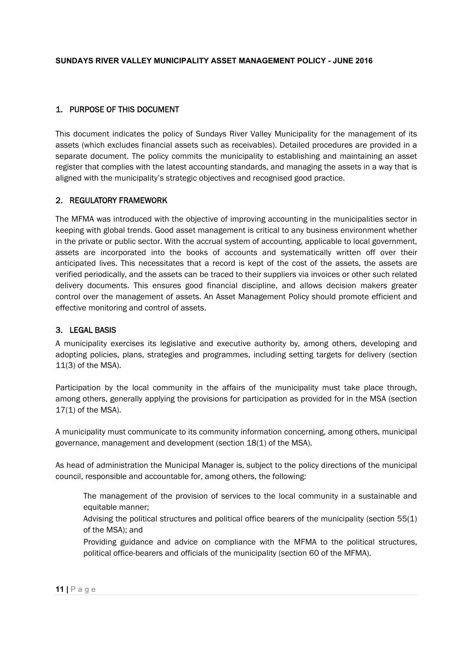# 1. PURPOSE OF THIS DOCUMENT

This document indicates the policy of Sundays River Valley Municipality for the management of its assets (which excludes financial assets such as receivables). Detailed procedures are provided in a separate document. The policy commits the municipality to establishing and maintaining an asset register that complies with the latest accounting standards, and managing the assets in a way that is aligned with the municipality's strategic objectives and recognised good practice.

# 2. REGULATORY FRAMEWORK

The MFMA was introduced with the objective of improving accounting in the municipalities sector in keeping with global trends. Good asset management is critical to any business environment whether in the private or public sector. With the accrual system of accounting, applicable to local government, assets are incorporated into the books of accounts and systematically written off over their anticipated lives. This necessitates that a record is kept of the cost of the assets, the assets are verified periodically, and the assets can be traced to their suppliers via invoices or other such related delivery documents. This ensures good financial discipline, and allows decision makers greater control over the management of assets. An Asset Management Policy should promote efficient and effective monitoring and control of assets.

# 3. LEGAL BASIS

A municipality exercises its legislative and executive authority by, among others, developing and adopting policies, plans, strategies and programmes, including setting targets for delivery (section 11(3) of the MSA).

Participation by the local community in the affairs of the municipality must take place through, among others, generally applying the provisions for participation as provided for in the MSA (section 17(1) of the MSA).

A municipality must communicate to its community information concerning, among others, municipal governance, management and development (section 18(1) of the MSA).

As head of administration the Municipal Manager is, subject to the policy directions of the municipal council, responsible and accountable for, among others, the following:

The management of the provision of services to the local community in a sustainable and equitable manner;

Advising the political structures and political office bearers of the municipality (section 55(1) of the MSA); and

Providing guidance and advice on compliance with the MFMA to the political structures, political office-bearers and officials of the municipality (section 60 of the MFMA).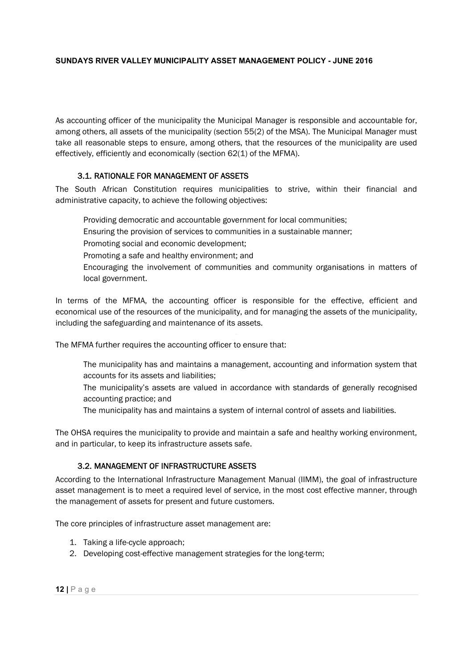As accounting officer of the municipality the Municipal Manager is responsible and accountable for, among others, all assets of the municipality (section 55(2) of the MSA). The Municipal Manager must take all reasonable steps to ensure, among others, that the resources of the municipality are used effectively, efficiently and economically (section 62(1) of the MFMA).

# 3.1. RATIONALE FOR MANAGEMENT OF ASSETS

The South African Constitution requires municipalities to strive, within their financial and administrative capacity, to achieve the following objectives:

Providing democratic and accountable government for local communities;

- Ensuring the provision of services to communities in a sustainable manner;
- Promoting social and economic development;
- Promoting a safe and healthy environment; and
- Encouraging the involvement of communities and community organisations in matters of local government.

In terms of the MFMA, the accounting officer is responsible for the effective, efficient and economical use of the resources of the municipality, and for managing the assets of the municipality, including the safeguarding and maintenance of its assets.

The MFMA further requires the accounting officer to ensure that:

- The municipality has and maintains a management, accounting and information system that accounts for its assets and liabilities;
- The municipality's assets are valued in accordance with standards of generally recognised accounting practice; and
- The municipality has and maintains a system of internal control of assets and liabilities.

The OHSA requires the municipality to provide and maintain a safe and healthy working environment, and in particular, to keep its infrastructure assets safe.

# 3.2. MANAGEMENT OF INFRASTRUCTURE ASSETS

According to the International Infrastructure Management Manual (IIMM), the goal of infrastructure asset management is to meet a required level of service, in the most cost effective manner, through the management of assets for present and future customers.

The core principles of infrastructure asset management are:

- 1. Taking a life-cycle approach;
- 2. Developing cost-effective management strategies for the long-term;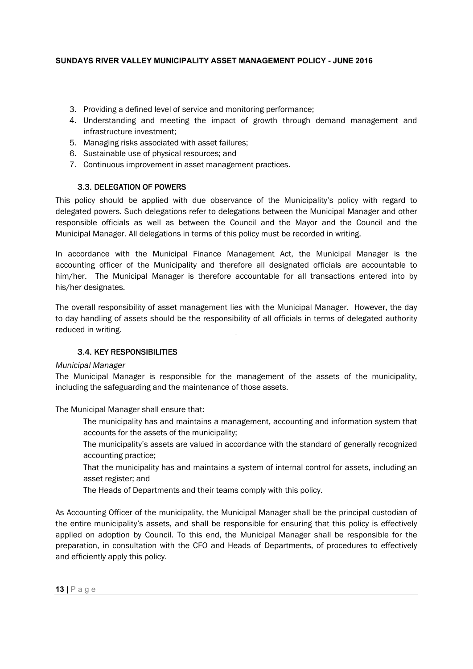- 3. Providing a defined level of service and monitoring performance;
- 4. Understanding and meeting the impact of growth through demand management and infrastructure investment;
- 5. Managing risks associated with asset failures;
- 6. Sustainable use of physical resources; and
- 7. Continuous improvement in asset management practices.

# 3.3. DELEGATION OF POWERS

This policy should be applied with due observance of the Municipality's policy with regard to delegated powers. Such delegations refer to delegations between the Municipal Manager and other responsible officials as well as between the Council and the Mayor and the Council and the Municipal Manager. All delegations in terms of this policy must be recorded in writing.

In accordance with the Municipal Finance Management Act, the Municipal Manager is the accounting officer of the Municipality and therefore all designated officials are accountable to him/her. The Municipal Manager is therefore accountable for all transactions entered into by his/her designates.

The overall responsibility of asset management lies with the Municipal Manager. However, the day to day handling of assets should be the responsibility of all officials in terms of delegated authority reduced in writing.

# 3.4. KEY RESPONSIBILITIES

## *Municipal Manager*

The Municipal Manager is responsible for the management of the assets of the municipality, including the safeguarding and the maintenance of those assets.

The Municipal Manager shall ensure that:

- The municipality has and maintains a management, accounting and information system that accounts for the assets of the municipality;
- The municipality's assets are valued in accordance with the standard of generally recognized accounting practice;
- That the municipality has and maintains a system of internal control for assets, including an asset register; and
- The Heads of Departments and their teams comply with this policy.

As Accounting Officer of the municipality, the Municipal Manager shall be the principal custodian of the entire municipality's assets, and shall be responsible for ensuring that this policy is effectively applied on adoption by Council. To this end, the Municipal Manager shall be responsible for the preparation, in consultation with the CFO and Heads of Departments, of procedures to effectively and efficiently apply this policy.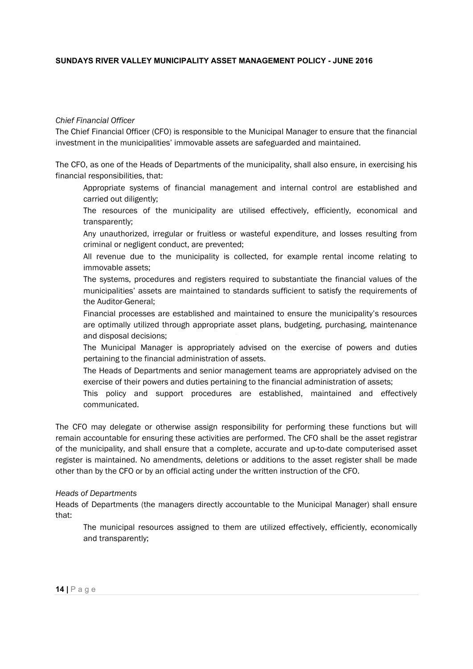## *Chief Financial Officer*

The Chief Financial Officer (CFO) is responsible to the Municipal Manager to ensure that the financial investment in the municipalities' immovable assets are safeguarded and maintained.

The CFO, as one of the Heads of Departments of the municipality, shall also ensure, in exercising his financial responsibilities, that:

Appropriate systems of financial management and internal control are established and carried out diligently;

The resources of the municipality are utilised effectively, efficiently, economical and transparently;

Any unauthorized, irregular or fruitless or wasteful expenditure, and losses resulting from criminal or negligent conduct, are prevented;

All revenue due to the municipality is collected, for example rental income relating to immovable assets;

The systems, procedures and registers required to substantiate the financial values of the municipalities' assets are maintained to standards sufficient to satisfy the requirements of the Auditor-General;

Financial processes are established and maintained to ensure the municipality's resources are optimally utilized through appropriate asset plans, budgeting, purchasing, maintenance and disposal decisions;

The Municipal Manager is appropriately advised on the exercise of powers and duties pertaining to the financial administration of assets.

The Heads of Departments and senior management teams are appropriately advised on the exercise of their powers and duties pertaining to the financial administration of assets;

This policy and support procedures are established, maintained and effectively communicated.

The CFO may delegate or otherwise assign responsibility for performing these functions but will remain accountable for ensuring these activities are performed. The CFO shall be the asset registrar of the municipality, and shall ensure that a complete, accurate and up-to-date computerised asset register is maintained. No amendments, deletions or additions to the asset register shall be made other than by the CFO or by an official acting under the written instruction of the CFO.

#### *Heads of Departments*

Heads of Departments (the managers directly accountable to the Municipal Manager) shall ensure that:

The municipal resources assigned to them are utilized effectively, efficiently, economically and transparently;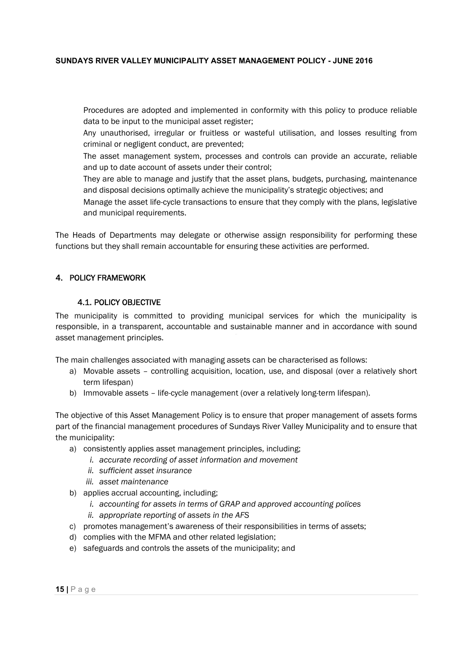Procedures are adopted and implemented in conformity with this policy to produce reliable data to be input to the municipal asset register;

Any unauthorised, irregular or fruitless or wasteful utilisation, and losses resulting from criminal or negligent conduct, are prevented;

The asset management system, processes and controls can provide an accurate, reliable and up to date account of assets under their control;

They are able to manage and justify that the asset plans, budgets, purchasing, maintenance and disposal decisions optimally achieve the municipality's strategic objectives; and

Manage the asset life-cycle transactions to ensure that they comply with the plans, legislative and municipal requirements.

The Heads of Departments may delegate or otherwise assign responsibility for performing these functions but they shall remain accountable for ensuring these activities are performed.

# 4. POLICY FRAMEWORK

## 4.1. POLICY OBJECTIVE

The municipality is committed to providing municipal services for which the municipality is responsible, in a transparent, accountable and sustainable manner and in accordance with sound asset management principles.

The main challenges associated with managing assets can be characterised as follows:

- a) Movable assets controlling acquisition, location, use, and disposal (over a relatively short term lifespan)
- b) Immovable assets life-cycle management (over a relatively long-term lifespan).

The objective of this Asset Management Policy is to ensure that proper management of assets forms part of the financial management procedures of Sundays River Valley Municipality and to ensure that the municipality:

- a) consistently applies asset management principles, including;
	- *i. accurate recording of asset information and movement*
	- *ii. sufficient asset insurance*
	- *iii. asset maintenance*
- b) applies accrual accounting, including;
	- *i. accounting for assets in terms of GRAP and approved accounting polices*
	- *ii. appropriate reporting of assets in the AFS*
- c) promotes management's awareness of their responsibilities in terms of assets;
- d) complies with the MFMA and other related legislation;
- e) safeguards and controls the assets of the municipality; and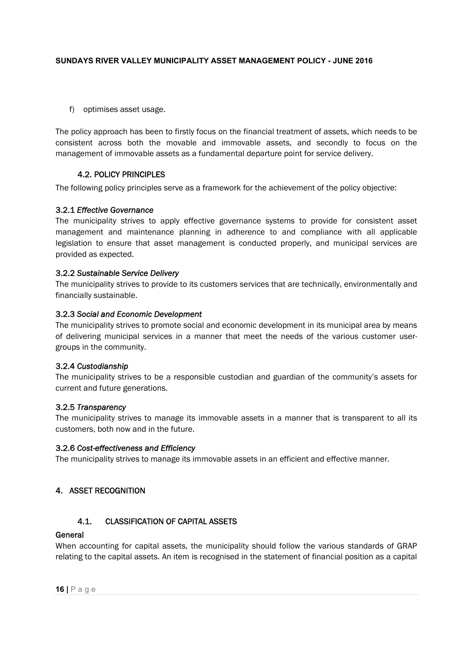f) optimises asset usage.

The policy approach has been to firstly focus on the financial treatment of assets, which needs to be consistent across both the movable and immovable assets, and secondly to focus on the management of immovable assets as a fundamental departure point for service delivery.

# 4.2. POLICY PRINCIPLES

The following policy principles serve as a framework for the achievement of the policy objective:

## 3.2.1 *Effective Governance*

The municipality strives to apply effective governance systems to provide for consistent asset management and maintenance planning in adherence to and compliance with all applicable legislation to ensure that asset management is conducted properly, and municipal services are provided as expected.

## 3.2.2 *Sustainable Service Delivery*

The municipality strives to provide to its customers services that are technically, environmentally and financially sustainable.

## 3.2.3 *Social and Economic Development*

of delivering municipal services in a manner that meet the needs of the various customer user-The municipality strives to promote social and economic development in its municipal area by means groups in the community.

## 3.2.4 *Custodianship*

The municipality strives to be a responsible custodian and guardian of the community's assets for current and future generations.

## 3.2.5 *Transparency*

The municipality strives to manage its immovable assets in a manner that is transparent to all its customers, both now and in the future.

## 3.2.6 *Cost-effectiveness and Efficiency*

The municipality strives to manage its immovable assets in an efficient and effective manner.

# 4. ASSET RECOGNITION

# 4.1. CLASSIFICATION OF CAPITAL ASSETS

## General

When accounting for capital assets, the municipality should follow the various standards of GRAP relating to the capital assets. An item is recognised in the statement of financial position as a capital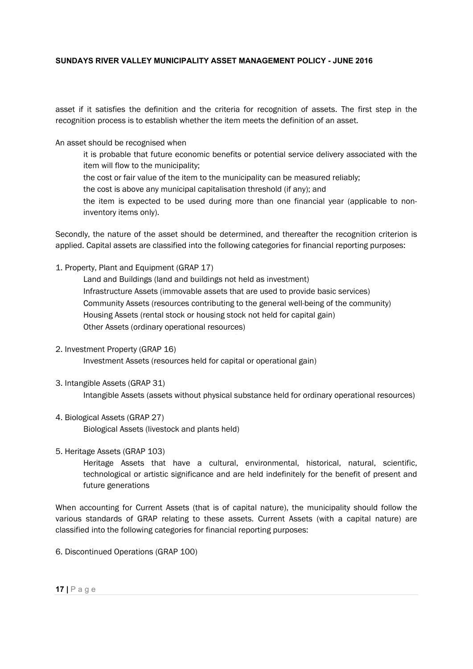asset if it satisfies the definition and the criteria for recognition of assets. The first step in the recognition process is to establish whether the item meets the definition of an asset.

An asset should be recognised when

it is probable that future economic benefits or potential service delivery associated with the item will flow to the municipality;

the cost or fair value of the item to the municipality can be measured reliably;

the cost is above any municipal capitalisation threshold (if any); and

the item is expected to be used during more than one financial year (applicable to noninventory items only).

Secondly, the nature of the asset should be determined, and thereafter the recognition criterion is applied. Capital assets are classified into the following categories for financial reporting purposes:

1. Property, Plant and Equipment (GRAP 17)

Land and Buildings (land and buildings not held as investment) Infrastructure Assets (immovable assets that are used to provide basic services) Community Assets (resources contributing to the general well-being of the community) Housing Assets (rental stock or housing stock not held for capital gain) Other Assets (ordinary operational resources)

2. Investment Property (GRAP 16)

Investment Assets (resources held for capital or operational gain)

3. Intangible Assets (GRAP 31)

Intangible Assets (assets without physical substance held for ordinary operational resources)

4. Biological Assets (GRAP 27)

Biological Assets (livestock and plants held)

5. Heritage Assets (GRAP 103)

Heritage Assets that have a cultural, environmental, historical, natural, scientific, technological or artistic significance and are held indefinitely for the benefit of present and future generations

When accounting for Current Assets (that is of capital nature), the municipality should follow the various standards of GRAP relating to these assets. Current Assets (with a capital nature) are classified into the following categories for financial reporting purposes:

6. Discontinued Operations (GRAP 100)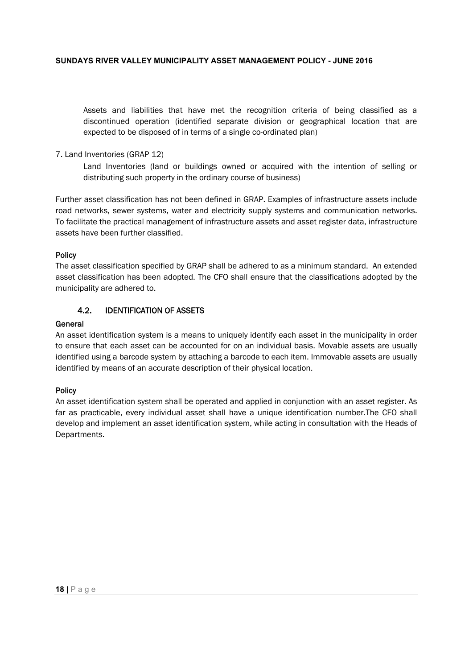Assets and liabilities that have met the recognition criteria of being classified as a discontinued operation (identified separate division or geographical location that are expected to be disposed of in terms of a single co-ordinated plan)

## 7. Land Inventories (GRAP 12)

Land Inventories (land or buildings owned or acquired with the intention of selling or distributing such property in the ordinary course of business)

Further asset classification has not been defined in GRAP. Examples of infrastructure assets include road networks, sewer systems, water and electricity supply systems and communication networks. To facilitate the practical management of infrastructure assets and asset register data, infrastructure assets have been further classified.

## Policy

The asset classification specified by GRAP shall be adhered to as a minimum standard. An extended asset classification has been adopted. The CFO shall ensure that the classifications adopted by the municipality are adhered to.

# 4.2. IDENTIFICATION OF ASSETS

#### General

An asset identification system is a means to uniquely identify each asset in the municipality in order to ensure that each asset can be accounted for on an individual basis. Movable assets are usually identified using a barcode system by attaching a barcode to each item. Immovable assets are usually identified by means of an accurate description of their physical location.

## **Policy**

An asset identification system shall be operated and applied in conjunction with an asset register. As far as practicable, every individual asset shall have a unique identification number.The CFO shall develop and implement an asset identification system, while acting in consultation with the Heads of Departments.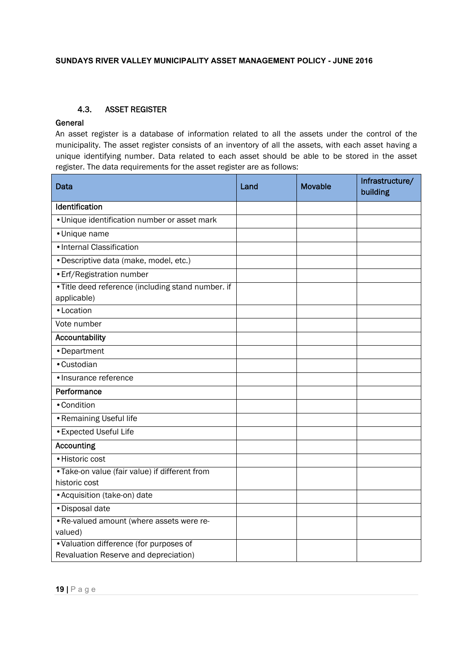# 4.3. ASSET REGISTER

# **General**

An asset register is a database of information related to all the assets under the control of the municipality. The asset register consists of an inventory of all the assets, with each asset having a unique identifying number. Data related to each asset should be able to be stored in the asset register. The data requirements for the asset register are as follows:

| Data                                                                             | Land | <b>Movable</b> | Infrastructure/<br>building |
|----------------------------------------------------------------------------------|------|----------------|-----------------------------|
| Identification                                                                   |      |                |                             |
| • Unique identification number or asset mark                                     |      |                |                             |
| • Unique name                                                                    |      |                |                             |
| · Internal Classification                                                        |      |                |                             |
| · Descriptive data (make, model, etc.)                                           |      |                |                             |
| · Erf/Registration number                                                        |      |                |                             |
| • Title deed reference (including stand number. if<br>applicable)                |      |                |                             |
| • Location                                                                       |      |                |                             |
| Vote number                                                                      |      |                |                             |
| Accountability                                                                   |      |                |                             |
| • Department                                                                     |      |                |                             |
| • Custodian                                                                      |      |                |                             |
| · Insurance reference                                                            |      |                |                             |
| Performance                                                                      |      |                |                             |
| • Condition                                                                      |      |                |                             |
| • Remaining Useful life                                                          |      |                |                             |
| • Expected Useful Life                                                           |      |                |                             |
| <b>Accounting</b>                                                                |      |                |                             |
| · Historic cost                                                                  |      |                |                             |
| • Take-on value (fair value) if different from<br>historic cost                  |      |                |                             |
| • Acquisition (take-on) date                                                     |      |                |                             |
| · Disposal date                                                                  |      |                |                             |
| . Re-valued amount (where assets were re-<br>valued)                             |      |                |                             |
| • Valuation difference (for purposes of<br>Revaluation Reserve and depreciation) |      |                |                             |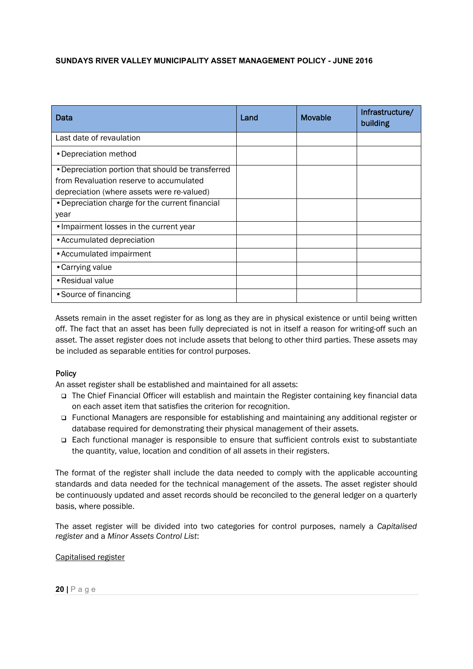| Data                                              | Land | <b>Movable</b> | Infrastructure/<br>building |
|---------------------------------------------------|------|----------------|-----------------------------|
| Last date of revaulation                          |      |                |                             |
| • Depreciation method                             |      |                |                             |
| • Depreciation portion that should be transferred |      |                |                             |
| from Revaluation reserve to accumulated           |      |                |                             |
| depreciation (where assets were re-valued)        |      |                |                             |
| • Depreciation charge for the current financial   |      |                |                             |
| year                                              |      |                |                             |
| • Impairment losses in the current year           |      |                |                             |
| • Accumulated depreciation                        |      |                |                             |
| • Accumulated impairment                          |      |                |                             |
| • Carrying value                                  |      |                |                             |
| • Residual value                                  |      |                |                             |
| • Source of financing                             |      |                |                             |

Assets remain in the asset register for as long as they are in physical existence or until being written off. The fact that an asset has been fully depreciated is not in itself a reason for writing-off such an asset. The asset register does not include assets that belong to other third parties. These assets may be included as separable entities for control purposes.

## Policy

An asset register shall be established and maintained for all assets:

- The Chief Financial Officer will establish and maintain the Register containing key financial data on each asset item that satisfies the criterion for recognition.
- Functional Managers are responsible for establishing and maintaining any additional register or database required for demonstrating their physical management of their assets.
- Each functional manager is responsible to ensure that sufficient controls exist to substantiate the quantity, value, location and condition of all assets in their registers.

The format of the register shall include the data needed to comply with the applicable accounting standards and data needed for the technical management of the assets. The asset register should be continuously updated and asset records should be reconciled to the general ledger on a quarterly basis, where possible.

The asset register will be divided into two categories for control purposes, namely a *Capitalised register* and a *Minor Assets Control List*:

#### Capitalised register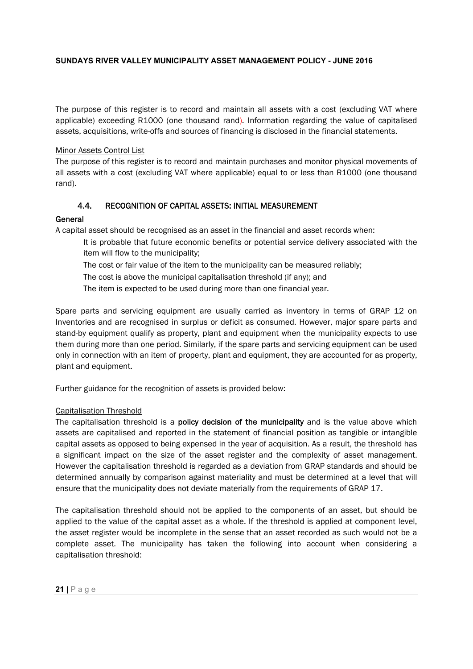The purpose of this register is to record and maintain all assets with a cost (excluding VAT where applicable) exceeding R1000 (one thousand rand). Information regarding the value of capitalised assets, acquisitions, write-offs and sources of financing is disclosed in the financial statements.

## Minor Assets Control List

The purpose of this register is to record and maintain purchases and monitor physical movements of all assets with a cost (excluding VAT where applicable) equal to or less than R1000 (one thousand rand).

# 4.4. RECOGNITION OF CAPITAL ASSETS: INITIAL MEASUREMENT

## General

A capital asset should be recognised as an asset in the financial and asset records when:

- It is probable that future economic benefits or potential service delivery associated with the item will flow to the municipality;
- The cost or fair value of the item to the municipality can be measured reliably;
- The cost is above the municipal capitalisation threshold (if any); and
- The item is expected to be used during more than one financial year.

stand-by equipment qualify as property, plant and equipment when the municipality expects to use Spare parts and servicing equipment are usually carried as inventory in terms of GRAP 12 on Inventories and are recognised in surplus or deficit as consumed. However, major spare parts and them during more than one period. Similarly, if the spare parts and servicing equipment can be used only in connection with an item of property, plant and equipment, they are accounted for as property, plant and equipment.

Further guidance for the recognition of assets is provided below:

## Capitalisation Threshold

The capitalisation threshold is a **policy decision of the municipality** and is the value above which assets are capitalised and reported in the statement of financial position as tangible or intangible capital assets as opposed to being expensed in the year of acquisition. As a result, the threshold has a significant impact on the size of the asset register and the complexity of asset management. However the capitalisation threshold is regarded as a deviation from GRAP standards and should be determined annually by comparison against materiality and must be determined at a level that will ensure that the municipality does not deviate materially from the requirements of GRAP 17.

The capitalisation threshold should not be applied to the components of an asset, but should be applied to the value of the capital asset as a whole. If the threshold is applied at component level, the asset register would be incomplete in the sense that an asset recorded as such would not be a complete asset. The municipality has taken the following into account when considering a capitalisation threshold: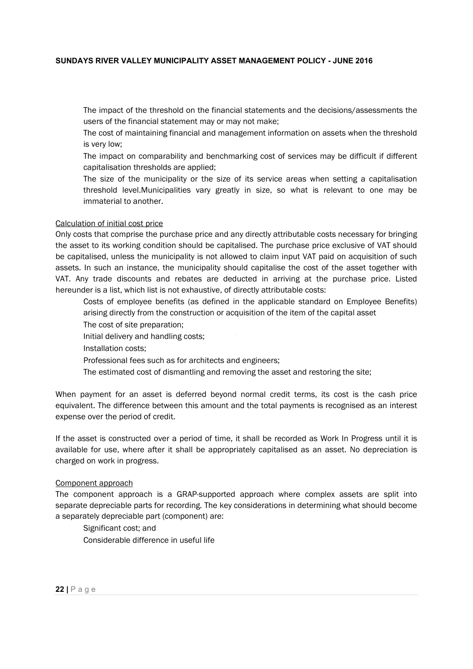The impact of the threshold on the financial statements and the decisions/assessments the users of the financial statement may or may not make;

The cost of maintaining financial and management information on assets when the threshold is very low;

The impact on comparability and benchmarking cost of services may be difficult if different capitalisation thresholds are applied;

The size of the municipality or the size of its service areas when setting a capitalisation threshold level.Municipalities vary greatly in size, so what is relevant to one may be immaterial to another.

## Calculation of initial cost price

Only costs that comprise the purchase price and any directly attributable costs necessary for bringing the asset to its working condition should be capitalised. The purchase price exclusive of VAT should be capitalised, unless the municipality is not allowed to claim input VAT paid on acquisition of such assets. In such an instance, the municipality should capitalise the cost of the asset together with VAT. Any trade discounts and rebates are deducted in arriving at the purchase price. Listed hereunder is a list, which list is not exhaustive, of directly attributable costs:

Costs of employee benefits (as defined in the applicable standard on Employee Benefits) arising directly from the construction or acquisition of the item of the capital asset

The cost of site preparation;

Initial delivery and handling costs;

Installation costs;

Professional fees such as for architects and engineers;

The estimated cost of dismantling and removing the asset and restoring the site;

When payment for an asset is deferred beyond normal credit terms, its cost is the cash price equivalent. The difference between this amount and the total payments is recognised as an interest expense over the period of credit.

If the asset is constructed over a period of time, it shall be recorded as Work In Progress until it is available for use, where after it shall be appropriately capitalised as an asset. No depreciation is charged on work in progress.

#### Component approach

The component approach is a GRAP-supported approach where complex assets are split into separate depreciable parts for recording. The key considerations in determining what should become a separately depreciable part (component) are:

Significant cost; and Considerable difference in useful life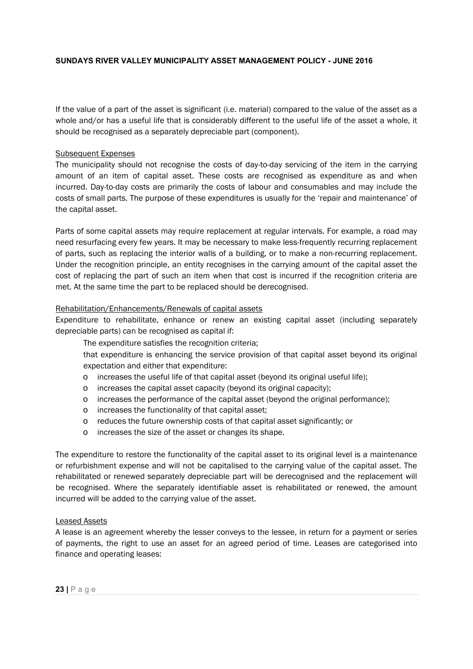If the value of a part of the asset is significant (i.e. material) compared to the value of the asset as a whole and/or has a useful life that is considerably different to the useful life of the asset a whole, it should be recognised as a separately depreciable part (component).

## Subsequent Expenses

The municipality should not recognise the costs of day-to-day servicing of the item in the carrying amount of an item of capital asset. These costs are recognised as expenditure as and when incurred. Day-to-day costs are primarily the costs of labour and consumables and may include the costs of small parts. The purpose of these expenditures is usually for the 'repair and maintenance' of the capital asset.

Parts of some capital assets may require replacement at regular intervals. For example, a road may need resurfacing every few years. It may be necessary to make less-frequently recurring replacement of parts, such as replacing the interior walls of a building, or to make a non-recurring replacement. Under the recognition principle, an entity recognises in the carrying amount of the capital asset the cost of replacing the part of such an item when that cost is incurred if the recognition criteria are met. At the same time the part to be replaced should be derecognised.

#### Rehabilitation/Enhancements/Renewals of capital assets

depreciable parts) can be recognised as capital if: Expenditure to rehabilitate, enhance or renew an existing capital asset (including separately

The expenditure satisfies the recognition criteria;

that expenditure is enhancing the service provision of that capital asset beyond its original expectation and either that expenditure:

- o increases the useful life of that capital asset (beyond its original useful life);
- o increases the capital asset capacity (beyond its original capacity);
- o increases the performance of the capital asset (beyond the original performance);
- o increases the functionality of that capital asset;
- o reduces the future ownership costs of that capital asset significantly; or
- o increases the size of the asset or changes its shape.

The expenditure to restore the functionality of the capital asset to its original level is a maintenance or refurbishment expense and will not be capitalised to the carrying value of the capital asset. The rehabilitated or renewed separately depreciable part will be derecognised and the replacement will be recognised. Where the separately identifiable asset is rehabilitated or renewed, the amount incurred will be added to the carrying value of the asset.

#### Leased Assets

A lease is an agreement whereby the lesser conveys to the lessee, in return for a payment or series of payments, the right to use an asset for an agreed period of time. Leases are categorised into finance and operating leases: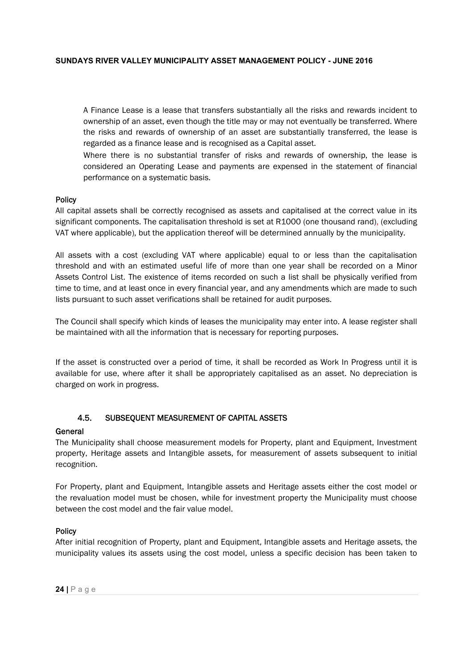A Finance Lease is a lease that transfers substantially all the risks and rewards incident to ownership of an asset, even though the title may or may not eventually be transferred. Where the risks and rewards of ownership of an asset are substantially transferred, the lease is regarded as a finance lease and is recognised as a Capital asset.

Where there is no substantial transfer of risks and rewards of ownership, the lease is considered an Operating Lease and payments are expensed in the statement of financial performance on a systematic basis.

#### Policy

All capital assets shall be correctly recognised as assets and capitalised at the correct value in its significant components. The capitalisation threshold is set at R1000 (one thousand rand), (excluding VAT where applicable), but the application thereof will be determined annually by the municipality.

All assets with a cost (excluding VAT where applicable) equal to or less than the capitalisation threshold and with an estimated useful life of more than one year shall be recorded on a Minor Assets Control List. The existence of items recorded on such a list shall be physically verified from time to time, and at least once in every financial year, and any amendments which are made to such lists pursuant to such asset verifications shall be retained for audit purposes.

be maintained with all the information that is necessary for reporting purposes. The Council shall specify which kinds of leases the municipality may enter into. A lease register shall

If the asset is constructed over a period of time, it shall be recorded as Work In Progress until it is available for use, where after it shall be appropriately capitalised as an asset. No depreciation is charged on work in progress.

# 4.5. SUBSEQUENT MEASUREMENT OF CAPITAL ASSETS

## General

The Municipality shall choose measurement models for Property, plant and Equipment, Investment property, Heritage assets and Intangible assets, for measurement of assets subsequent to initial recognition.

For Property, plant and Equipment, Intangible assets and Heritage assets either the cost model or the revaluation model must be chosen, while for investment property the Municipality must choose between the cost model and the fair value model.

## **Policy**

After initial recognition of Property, plant and Equipment, Intangible assets and Heritage assets, the municipality values its assets using the cost model, unless a specific decision has been taken to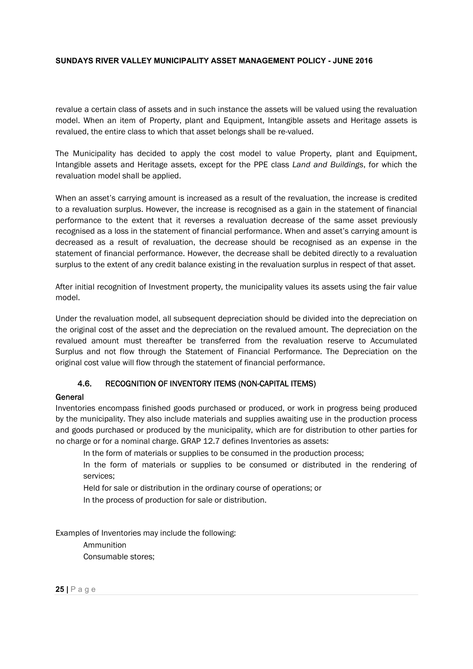revalue a certain class of assets and in such instance the assets will be valued using the revaluation model. When an item of Property, plant and Equipment, Intangible assets and Heritage assets is revalued, the entire class to which that asset belongs shall be re-valued.

The Municipality has decided to apply the cost model to value Property, plant and Equipment, Intangible assets and Heritage assets, except for the PPE class *Land and Buildings*, for which the revaluation model shall be applied.

When an asset's carrying amount is increased as a result of the revaluation, the increase is credited to a revaluation surplus. However, the increase is recognised as a gain in the statement of financial performance to the extent that it reverses a revaluation decrease of the same asset previously recognised as a loss in the statement of financial performance. When and asset's carrying amount is decreased as a result of revaluation, the decrease should be recognised as an expense in the statement of financial performance. However, the decrease shall be debited directly to a revaluation surplus to the extent of any credit balance existing in the revaluation surplus in respect of that asset.

After initial recognition of Investment property, the municipality values its assets using the fair value model.

Under the revaluation model, all subsequent depreciation should be divided into the depreciation on the original cost of the asset and the depreciation on the revalued amount. The depreciation on the revalued amount must thereafter be transferred from the revaluation reserve to Accumulated Surplus and not flow through the Statement of Financial Performance. The Depreciation on the original cost value will flow through the statement of financial performance.

# 4.6. RECOGNITION OF INVENTORY ITEMS (NON-CAPITAL ITEMS)

## **General**

Inventories encompass finished goods purchased or produced, or work in progress being produced by the municipality. They also include materials and supplies awaiting use in the production process and goods purchased or produced by the municipality, which are for distribution to other parties for no charge or for a nominal charge. GRAP 12.7 defines Inventories as assets:

In the form of materials or supplies to be consumed in the production process;

In the form of materials or supplies to be consumed or distributed in the rendering of services;

Held for sale or distribution in the ordinary course of operations; or

In the process of production for sale or distribution.

Examples of Inventories may include the following:

Ammunition Consumable stores;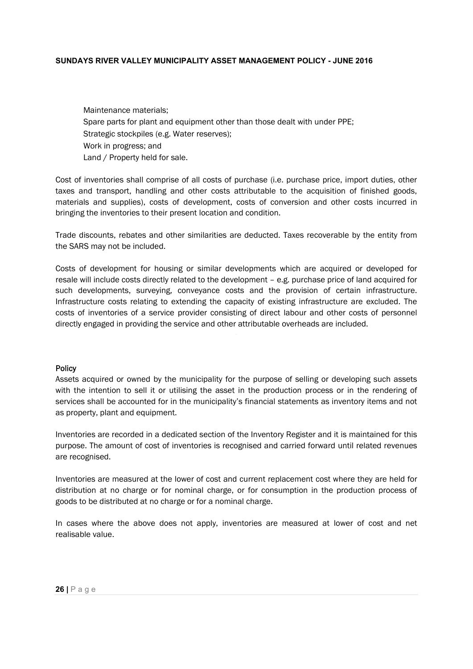Maintenance materials; Spare parts for plant and equipment other than those dealt with under PPE; Strategic stockpiles (e.g. Water reserves); Work in progress; and Land / Property held for sale.

Cost of inventories shall comprise of all costs of purchase (i.e. purchase price, import duties, other taxes and transport, handling and other costs attributable to the acquisition of finished goods, materials and supplies), costs of development, costs of conversion and other costs incurred in bringing the inventories to their present location and condition.

Trade discounts, rebates and other similarities are deducted. Taxes recoverable by the entity from the SARS may not be included.

Costs of development for housing or similar developments which are acquired or developed for resale will include costs directly related to the development – e.g. purchase price of land acquired for such developments, surveying, conveyance costs and the provision of certain infrastructure. Infrastructure costs relating to extending the capacity of existing infrastructure are excluded. The costs of inventories of a service provider consisting of direct labour and other costs of personnel directly engaged in providing the service and other attributable overheads are included.

#### Policy

Assets acquired or owned by the municipality for the purpose of selling or developing such assets with the intention to sell it or utilising the asset in the production process or in the rendering of services shall be accounted for in the municipality's financial statements as inventory items and not as property, plant and equipment.

Inventories are recorded in a dedicated section of the Inventory Register and it is maintained for this purpose. The amount of cost of inventories is recognised and carried forward until related revenues are recognised.

Inventories are measured at the lower of cost and current replacement cost where they are held for distribution at no charge or for nominal charge, or for consumption in the production process of goods to be distributed at no charge or for a nominal charge.

In cases where the above does not apply, inventories are measured at lower of cost and net realisable value.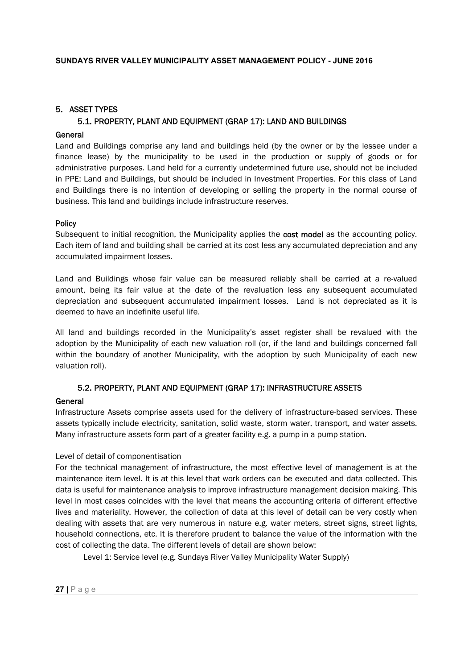# 5. ASSET TYPES

# 5.1. PROPERTY, PLANT AND EQUIPMENT (GRAP 17): LAND AND BUILDINGS

## **General**

Land and Buildings comprise any land and buildings held (by the owner or by the lessee under a finance lease) by the municipality to be used in the production or supply of goods or for administrative purposes. Land held for a currently undetermined future use, should not be included in PPE: Land and Buildings, but should be included in Investment Properties. For this class of Land and Buildings there is no intention of developing or selling the property in the normal course of business. This land and buildings include infrastructure reserves.

#### **Policy**

Subsequent to initial recognition, the Municipality applies the **cost model** as the accounting policy. Each item of land and building shall be carried at its cost less any accumulated depreciation and any accumulated impairment losses.

Land and Buildings whose fair value can be measured reliably shall be carried at a re-valued amount, being its fair value at the date of the revaluation less any subsequent accumulated depreciation and subsequent accumulated impairment losses. Land is not depreciated as it is deemed to have an indefinite useful life.

All land and buildings recorded in the Municipality's asset register shall be revalued with the adoption by the Municipality of each new valuation roll (or, if the land and buildings concerned fall within the boundary of another Municipality, with the adoption by such Municipality of each new valuation roll).

## 5.2. PROPERTY, PLANT AND EQUIPMENT (GRAP 17): INFRASTRUCTURE ASSETS

## General

Infrastructure Assets comprise assets used for the delivery of infrastructure-based services. These assets typically include electricity, sanitation, solid waste, storm water, transport, and water assets. Many infrastructure assets form part of a greater facility e.g. a pump in a pump station.

## Level of detail of componentisation

For the technical management of infrastructure, the most effective level of management is at the maintenance item level. It is at this level that work orders can be executed and data collected. This data is useful for maintenance analysis to improve infrastructure management decision making. This level in most cases coincides with the level that means the accounting criteria of different effective lives and materiality. However, the collection of data at this level of detail can be very costly when dealing with assets that are very numerous in nature e.g. water meters, street signs, street lights, household connections, etc. It is therefore prudent to balance the value of the information with the cost of collecting the data. The different levels of detail are shown below:

Level 1: Service level (e.g. Sundays River Valley Municipality Water Supply)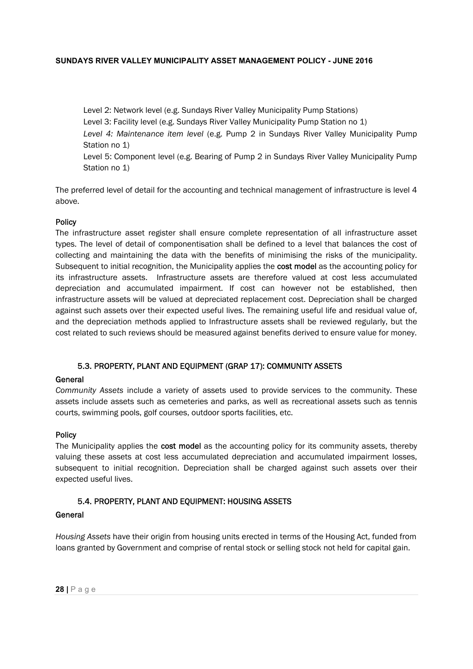Level 2: Network level (e.g. Sundays River Valley Municipality Pump Stations) Level 3: Facility level (e.g. Sundays River Valley Municipality Pump Station no 1) *Level 4: Maintenance item level* (e.g. Pump 2 in Sundays River Valley Municipality Pump Station no 1) Level 5: Component level (e.g. Bearing of Pump 2 in Sundays River Valley Municipality Pump Station no 1)

The preferred level of detail for the accounting and technical management of infrastructure is level 4 above.

#### **Policy**

cost related to such reviews should be measured against benefits derived to ensure value for money. The infrastructure asset register shall ensure complete representation of all infrastructure asset types. The level of detail of componentisation shall be defined to a level that balances the cost of collecting and maintaining the data with the benefits of minimising the risks of the municipality. Subsequent to initial recognition, the Municipality applies the cost model as the accounting policy for its infrastructure assets. Infrastructure assets are therefore valued at cost less accumulated depreciation and accumulated impairment. If cost can however not be established, then infrastructure assets will be valued at depreciated replacement cost. Depreciation shall be charged against such assets over their expected useful lives. The remaining useful life and residual value of, and the depreciation methods applied to Infrastructure assets shall be reviewed regularly, but the

## 5.3. PROPERTY, PLANT AND EQUIPMENT (GRAP 17): COMMUNITY ASSETS

#### General

*Community Assets* include a variety of assets used to provide services to the community. These assets include assets such as cemeteries and parks, as well as recreational assets such as tennis courts, swimming pools, golf courses, outdoor sports facilities, etc.

#### **Policy**

The Municipality applies the cost model as the accounting policy for its community assets, thereby valuing these assets at cost less accumulated depreciation and accumulated impairment losses, subsequent to initial recognition. Depreciation shall be charged against such assets over their expected useful lives.

#### 5.4. PROPERTY, PLANT AND EQUIPMENT: HOUSING ASSETS

#### **General**

*Housing Assets* have their origin from housing units erected in terms of the Housing Act, funded from loans granted by Government and comprise of rental stock or selling stock not held for capital gain.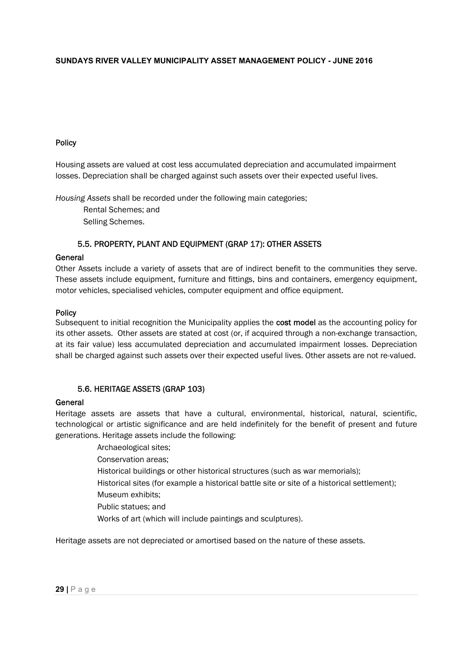## Policy

Housing assets are valued at cost less accumulated depreciation and accumulated impairment losses. Depreciation shall be charged against such assets over their expected useful lives.

*Housing Assets* shall be recorded under the following main categories;

Rental Schemes; and Selling Schemes.

## 5.5. PROPERTY, PLANT AND EQUIPMENT (GRAP 17): OTHER ASSETS

## General

Other Assets include a variety of assets that are of indirect benefit to the communities they serve. These assets include equipment, furniture and fittings, bins and containers, emergency equipment, motor vehicles, specialised vehicles, computer equipment and office equipment.

#### **Policy**

its other assets. Other assets are stated at cost (or, if acquired through a non-exchange transaction, Subsequent to initial recognition the Municipality applies the cost model as the accounting policy for at its fair value) less accumulated depreciation and accumulated impairment losses. Depreciation shall be charged against such assets over their expected useful lives. Other assets are not re-valued.

## 5.6. HERITAGE ASSETS (GRAP 103)

#### General

Heritage assets are assets that have a cultural, environmental, historical, natural, scientific, technological or artistic significance and are held indefinitely for the benefit of present and future generations. Heritage assets include the following:

> Archaeological sites; Conservation areas; Historical buildings or other historical structures (such as war memorials); Historical sites (for example a historical battle site or site of a historical settlement); Museum exhibits; Public statues; and Works of art (which will include paintings and sculptures).

Heritage assets are not depreciated or amortised based on the nature of these assets.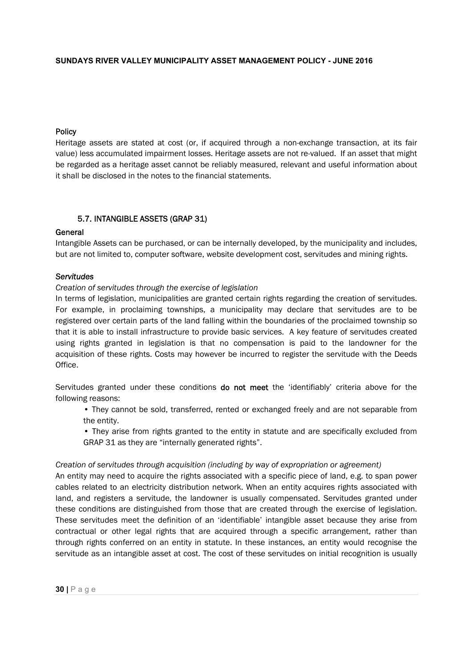## **Policy**

Heritage assets are stated at cost (or, if acquired through a non-exchange transaction, at its fair value) less accumulated impairment losses. Heritage assets are not re-valued. If an asset that might be regarded as a heritage asset cannot be reliably measured, relevant and useful information about it shall be disclosed in the notes to the financial statements.

## 5.7. INTANGIBLE ASSETS (GRAP 31)

#### General

Intangible Assets can be purchased, or can be internally developed, by the municipality and includes, but are not limited to, computer software, website development cost, servitudes and mining rights.

#### *Servitudes*

#### *Creation of servitudes through the exercise of legislation*

that it is able to install infrastructure to provide basic services. A key feature of servitudes created In terms of legislation, municipalities are granted certain rights regarding the creation of servitudes. For example, in proclaiming townships, a municipality may declare that servitudes are to be registered over certain parts of the land falling within the boundaries of the proclaimed township so using rights granted in legislation is that no compensation is paid to the landowner for the acquisition of these rights. Costs may however be incurred to register the servitude with the Deeds Office.

Servitudes granted under these conditions **do not meet** the 'identifiably' criteria above for the following reasons:

• They cannot be sold, transferred, rented or exchanged freely and are not separable from the entity.

• They arise from rights granted to the entity in statute and are specifically excluded from GRAP 31 as they are "internally generated rights".

#### *Creation of servitudes through acquisition (including by way of expropriation or agreement)*

An entity may need to acquire the rights associated with a specific piece of land, e.g. to span power cables related to an electricity distribution network. When an entity acquires rights associated with land, and registers a servitude, the landowner is usually compensated. Servitudes granted under these conditions are distinguished from those that are created through the exercise of legislation. These servitudes meet the definition of an 'identifiable' intangible asset because they arise from contractual or other legal rights that are acquired through a specific arrangement, rather than through rights conferred on an entity in statute. In these instances, an entity would recognise the servitude as an intangible asset at cost. The cost of these servitudes on initial recognition is usually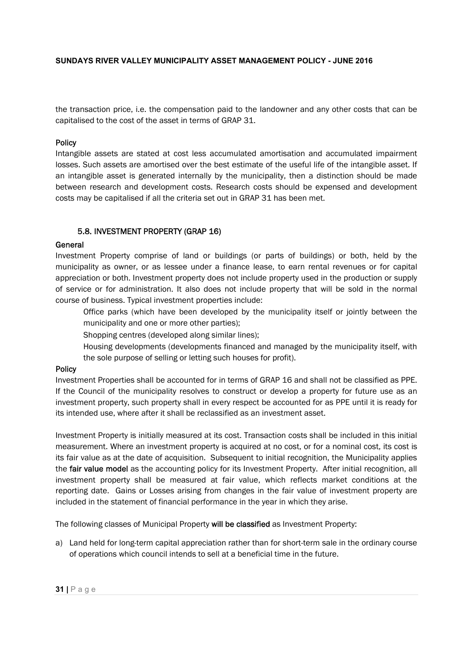the transaction price, i.e. the compensation paid to the landowner and any other costs that can be capitalised to the cost of the asset in terms of GRAP 31.

## Policy

Intangible assets are stated at cost less accumulated amortisation and accumulated impairment losses. Such assets are amortised over the best estimate of the useful life of the intangible asset. If an intangible asset is generated internally by the municipality, then a distinction should be made between research and development costs. Research costs should be expensed and development costs may be capitalised if all the criteria set out in GRAP 31 has been met.

## 5.8. INVESTMENT PROPERTY (GRAP 16)

#### General

Investment Property comprise of land or buildings (or parts of buildings) or both, held by the municipality as owner, or as lessee under a finance lease, to earn rental revenues or for capital appreciation or both. Investment property does not include property used in the production or supply of service or for administration. It also does not include property that will be sold in the normal course of business. Typical investment properties include:

Office parks (which have been developed by the municipality itself or jointly between the municipality and one or more other parties);

Shopping centres (developed along similar lines);

Housing developments (developments financed and managed by the municipality itself, with the sole purpose of selling or letting such houses for profit).

#### Policy

Investment Properties shall be accounted for in terms of GRAP 16 and shall not be classified as PPE. If the Council of the municipality resolves to construct or develop a property for future use as an investment property, such property shall in every respect be accounted for as PPE until it is ready for its intended use, where after it shall be reclassified as an investment asset.

Investment Property is initially measured at its cost. Transaction costs shall be included in this initial measurement. Where an investment property is acquired at no cost, or for a nominal cost, its cost is its fair value as at the date of acquisition. Subsequent to initial recognition, the Municipality applies the fair value model as the accounting policy for its Investment Property. After initial recognition, all investment property shall be measured at fair value, which reflects market conditions at the reporting date. Gains or Losses arising from changes in the fair value of investment property are included in the statement of financial performance in the year in which they arise.

The following classes of Municipal Property will be classified as Investment Property:

a) Land held for long-term capital appreciation rather than for short-term sale in the ordinary course of operations which council intends to sell at a beneficial time in the future.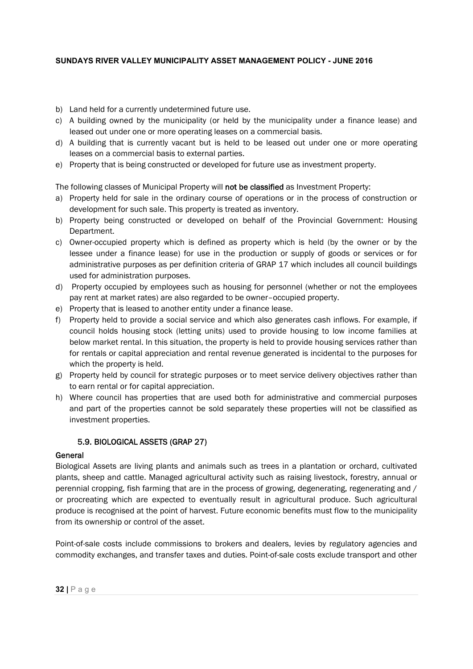- b) Land held for a currently undetermined future use.
- c) A building owned by the municipality (or held by the municipality under a finance lease) and leased out under one or more operating leases on a commercial basis.
- d) A building that is currently vacant but is held to be leased out under one or more operating leases on a commercial basis to external parties.
- e) Property that is being constructed or developed for future use as investment property.

The following classes of Municipal Property will not be classified as Investment Property:

- a) Property held for sale in the ordinary course of operations or in the process of construction or development for such sale. This property is treated as inventory.
- b) Property being constructed or developed on behalf of the Provincial Government: Housing Department.
- c) Owner-occupied property which is defined as property which is held (by the owner or by the lessee under a finance lease) for use in the production or supply of goods or services or for administrative purposes as per definition criteria of GRAP 17 which includes all council buildings used for administration purposes.
- d) Property occupied by employees such as housing for personnel (whether or not the employees pay rent at market rates) are also regarded to be owner–occupied property.
- e) Property that is leased to another entity under a finance lease.
- council holds housing stock (letting units) used to provide housing to low income families at f) Property held to provide a social service and which also generates cash inflows. For example, if below market rental. In this situation, the property is held to provide housing services rather than for rentals or capital appreciation and rental revenue generated is incidental to the purposes for which the property is held.
- g) Property held by council for strategic purposes or to meet service delivery objectives rather than to earn rental or for capital appreciation.
- h) Where council has properties that are used both for administrative and commercial purposes and part of the properties cannot be sold separately these properties will not be classified as investment properties.

# 5.9. BIOLOGICAL ASSETS (GRAP 27)

## **General**

Biological Assets are living plants and animals such as trees in a plantation or orchard, cultivated plants, sheep and cattle. Managed agricultural activity such as raising livestock, forestry, annual or perennial cropping, fish farming that are in the process of growing, degenerating, regenerating and / or procreating which are expected to eventually result in agricultural produce. Such agricultural produce is recognised at the point of harvest. Future economic benefits must flow to the municipality from its ownership or control of the asset.

Point-of-sale costs include commissions to brokers and dealers, levies by regulatory agencies and commodity exchanges, and transfer taxes and duties. Point-of-sale costs exclude transport and other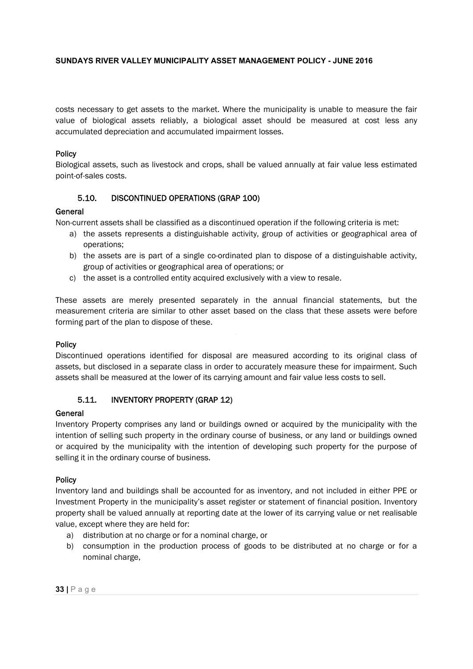costs necessary to get assets to the market. Where the municipality is unable to measure the fair value of biological assets reliably, a biological asset should be measured at cost less any accumulated depreciation and accumulated impairment losses.

## **Policy**

Biological assets, such as livestock and crops, shall be valued annually at fair value less estimated point-of-sales costs.

# 5.10. DISCONTINUED OPERATIONS (GRAP 100)

## General

Non-current assets shall be classified as a discontinued operation if the following criteria is met:

- a) the assets represents a distinguishable activity, group of activities or geographical area of operations;
- b) the assets are is part of a single co-ordinated plan to dispose of a distinguishable activity, group of activities or geographical area of operations; or
- c) the asset is a controlled entity acquired exclusively with a view to resale.

These assets are merely presented separately in the annual financial statements, but the measurement criteria are similar to other asset based on the class that these assets were before forming part of the plan to dispose of these.

## Policy

Discontinued operations identified for disposal are measured according to its original class of assets, but disclosed in a separate class in order to accurately measure these for impairment. Such assets shall be measured at the lower of its carrying amount and fair value less costs to sell.

# 5.11. INVENTORY PROPERTY (GRAP 12)

## General

Inventory Property comprises any land or buildings owned or acquired by the municipality with the intention of selling such property in the ordinary course of business, or any land or buildings owned or acquired by the municipality with the intention of developing such property for the purpose of selling it in the ordinary course of business.

## Policy

Inventory land and buildings shall be accounted for as inventory, and not included in either PPE or Investment Property in the municipality's asset register or statement of financial position. Inventory property shall be valued annually at reporting date at the lower of its carrying value or net realisable value, except where they are held for:

- a) distribution at no charge or for a nominal charge, or
- b) consumption in the production process of goods to be distributed at no charge or for a nominal charge,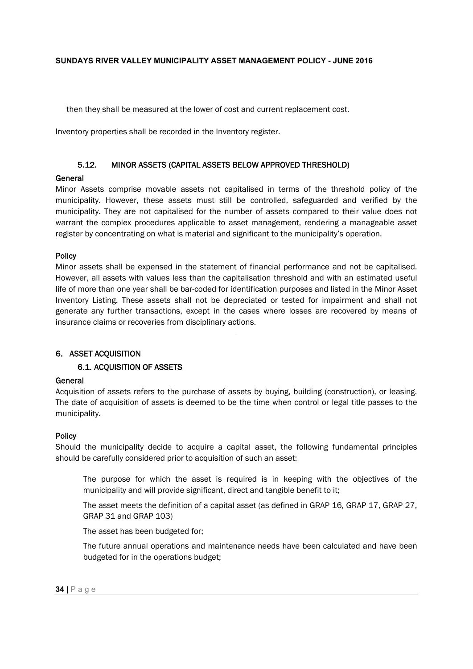then they shall be measured at the lower of cost and current replacement cost.

Inventory properties shall be recorded in the Inventory register.

## 5.12. MINOR ASSETS (CAPITAL ASSETS BELOW APPROVED THRESHOLD)

## **General**

Minor Assets comprise movable assets not capitalised in terms of the threshold policy of the municipality. However, these assets must still be controlled, safeguarded and verified by the municipality. They are not capitalised for the number of assets compared to their value does not warrant the complex procedures applicable to asset management, rendering a manageable asset register by concentrating on what is material and significant to the municipality's operation.

#### Policy

Minor assets shall be expensed in the statement of financial performance and not be capitalised. However, all assets with values less than the capitalisation threshold and with an estimated useful life of more than one year shall be bar-coded for identification purposes and listed in the Minor Asset Inventory Listing. These assets shall not be depreciated or tested for impairment and shall not generate any further transactions, except in the cases where losses are recovered by means of insurance claims or recoveries from disciplinary actions.

## 6. ASSET ACQUISITION

## 6.1. ACQUISITION OF ASSETS

## **General**

Acquisition of assets refers to the purchase of assets by buying, building (construction), or leasing. The date of acquisition of assets is deemed to be the time when control or legal title passes to the municipality.

## Policy

Should the municipality decide to acquire a capital asset, the following fundamental principles should be carefully considered prior to acquisition of such an asset:

The purpose for which the asset is required is in keeping with the objectives of the municipality and will provide significant, direct and tangible benefit to it;

The asset meets the definition of a capital asset (as defined in GRAP 16, GRAP 17, GRAP 27, GRAP 31 and GRAP 103)

The asset has been budgeted for;

The future annual operations and maintenance needs have been calculated and have been budgeted for in the operations budget;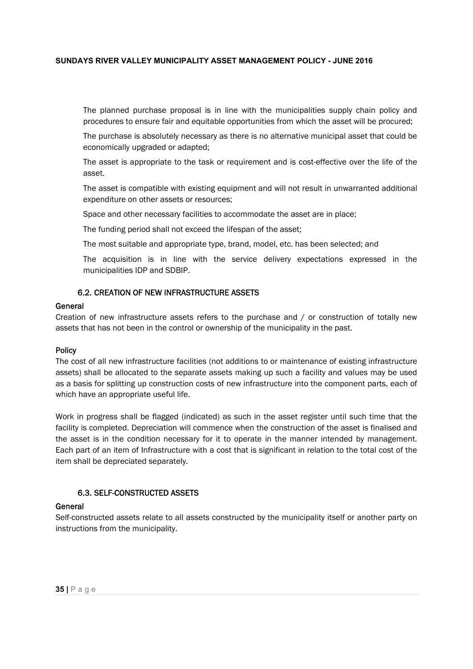The planned purchase proposal is in line with the municipalities supply chain policy and procedures to ensure fair and equitable opportunities from which the asset will be procured;

The purchase is absolutely necessary as there is no alternative municipal asset that could be economically upgraded or adapted;

The asset is appropriate to the task or requirement and is cost-effective over the life of the asset.

The asset is compatible with existing equipment and will not result in unwarranted additional expenditure on other assets or resources;

Space and other necessary facilities to accommodate the asset are in place;

The funding period shall not exceed the lifespan of the asset;

The most suitable and appropriate type, brand, model, etc. has been selected; and

The acquisition is in line with the service delivery expectations expressed in the municipalities IDP and SDBIP.

## 6.2. CREATION OF NEW INFRASTRUCTURE ASSETS

#### General

Creation of new infrastructure assets refers to the purchase and / or construction of totally new assets that has not been in the control or ownership of the municipality in the past.

## **Policy**

The cost of all new infrastructure facilities (not additions to or maintenance of existing infrastructure assets) shall be allocated to the separate assets making up such a facility and values may be used as a basis for splitting up construction costs of new infrastructure into the component parts, each of which have an appropriate useful life.

Work in progress shall be flagged (indicated) as such in the asset register until such time that the facility is completed. Depreciation will commence when the construction of the asset is finalised and the asset is in the condition necessary for it to operate in the manner intended by management. Each part of an item of Infrastructure with a cost that is significant in relation to the total cost of the item shall be depreciated separately.

## 6.3. SELF-CONSTRUCTED ASSETS

## General

Self-constructed assets relate to all assets constructed by the municipality itself or another party on instructions from the municipality.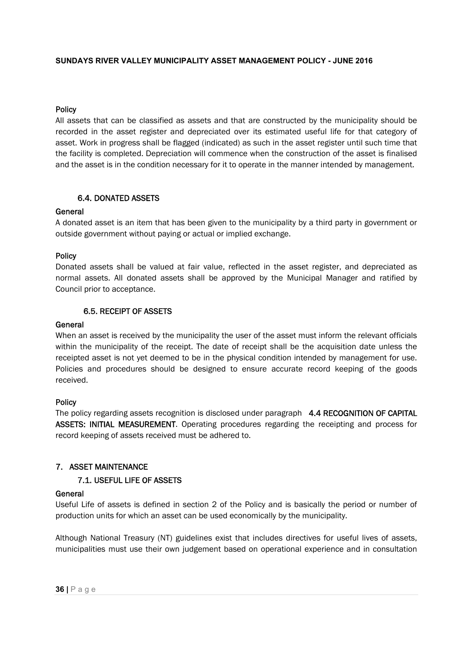## **Policy**

All assets that can be classified as assets and that are constructed by the municipality should be recorded in the asset register and depreciated over its estimated useful life for that category of asset. Work in progress shall be flagged (indicated) as such in the asset register until such time that the facility is completed. Depreciation will commence when the construction of the asset is finalised and the asset is in the condition necessary for it to operate in the manner intended by management.

## 6.4. DONATED ASSETS

#### General

A donated asset is an item that has been given to the municipality by a third party in government or outside government without paying or actual or implied exchange.

#### Policy

Donated assets shall be valued at fair value, reflected in the asset register, and depreciated as normal assets. All donated assets shall be approved by the Municipal Manager and ratified by Council prior to acceptance.

## 6.5. RECEIPT OF ASSETS

#### General

When an asset is received by the municipality the user of the asset must inform the relevant officials within the municipality of the receipt. The date of receipt shall be the acquisition date unless the receipted asset is not yet deemed to be in the physical condition intended by management for use. Policies and procedures should be designed to ensure accurate record keeping of the goods received.

## Policy

The policy regarding assets recognition is disclosed under paragraph 4.4 RECOGNITION OF CAPITAL ASSETS: INITIAL MEASUREMENT. Operating procedures regarding the receipting and process for record keeping of assets received must be adhered to.

# 7. ASSET MAINTENANCE

## 7.1. USEFUL LIFE OF ASSETS

#### General

Useful Life of assets is defined in section 2 of the Policy and is basically the period or number of production units for which an asset can be used economically by the municipality.

Although National Treasury (NT) guidelines exist that includes directives for useful lives of assets, municipalities must use their own judgement based on operational experience and in consultation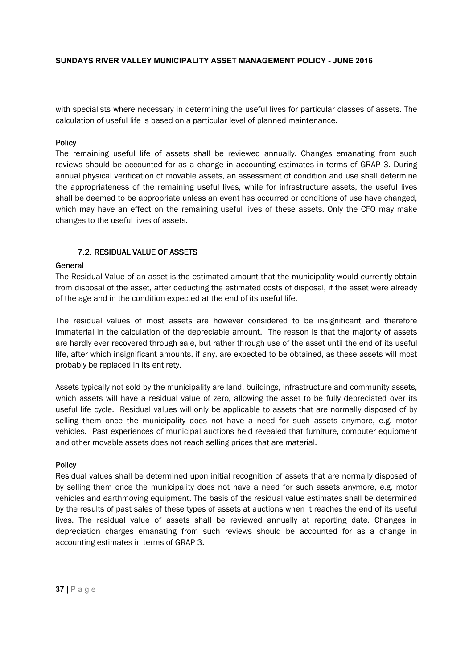with specialists where necessary in determining the useful lives for particular classes of assets. The calculation of useful life is based on a particular level of planned maintenance.

#### Policy

The remaining useful life of assets shall be reviewed annually. Changes emanating from such reviews should be accounted for as a change in accounting estimates in terms of GRAP 3. During annual physical verification of movable assets, an assessment of condition and use shall determine the appropriateness of the remaining useful lives, while for infrastructure assets, the useful lives shall be deemed to be appropriate unless an event has occurred or conditions of use have changed, which may have an effect on the remaining useful lives of these assets. Only the CFO may make changes to the useful lives of assets.

## 7.2. RESIDUAL VALUE OF ASSETS

#### General

The Residual Value of an asset is the estimated amount that the municipality would currently obtain from disposal of the asset, after deducting the estimated costs of disposal, if the asset were already of the age and in the condition expected at the end of its useful life.

immaterial in the calculation of the depreciable amount. The reason is that the majority of assets The residual values of most assets are however considered to be insignificant and therefore are hardly ever recovered through sale, but rather through use of the asset until the end of its useful life, after which insignificant amounts, if any, are expected to be obtained, as these assets will most probably be replaced in its entirety.

Assets typically not sold by the municipality are land, buildings, infrastructure and community assets, which assets will have a residual value of zero, allowing the asset to be fully depreciated over its useful life cycle. Residual values will only be applicable to assets that are normally disposed of by selling them once the municipality does not have a need for such assets anymore, e.g. motor vehicles. Past experiences of municipal auctions held revealed that furniture, computer equipment and other movable assets does not reach selling prices that are material.

#### Policy

Residual values shall be determined upon initial recognition of assets that are normally disposed of by selling them once the municipality does not have a need for such assets anymore, e.g. motor vehicles and earthmoving equipment. The basis of the residual value estimates shall be determined by the results of past sales of these types of assets at auctions when it reaches the end of its useful lives. The residual value of assets shall be reviewed annually at reporting date. Changes in depreciation charges emanating from such reviews should be accounted for as a change in accounting estimates in terms of GRAP 3.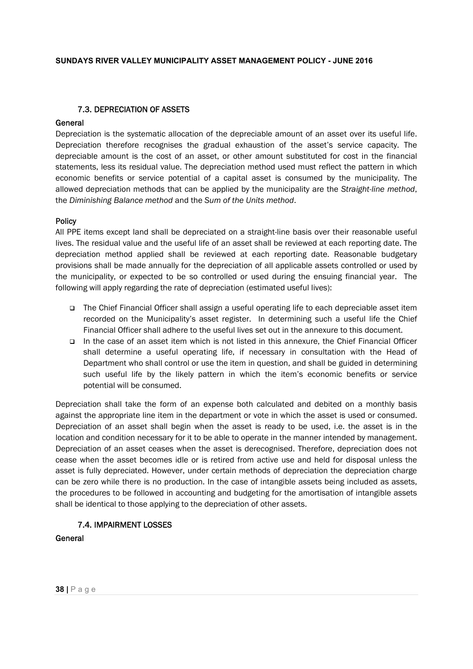# 7.3. DEPRECIATION OF ASSETS

## General

Depreciation is the systematic allocation of the depreciable amount of an asset over its useful life. Depreciation therefore recognises the gradual exhaustion of the asset's service capacity. The depreciable amount is the cost of an asset, or other amount substituted for cost in the financial statements, less its residual value. The depreciation method used must reflect the pattern in which economic benefits or service potential of a capital asset is consumed by the municipality. The allowed depreciation methods that can be applied by the municipality are the *Straight-line method*, the *Diminishing Balance method* and the *Sum of the Units method*.

#### Policy

All PPE items except land shall be depreciated on a straight-line basis over their reasonable useful lives. The residual value and the useful life of an asset shall be reviewed at each reporting date. The depreciation method applied shall be reviewed at each reporting date. Reasonable budgetary provisions shall be made annually for the depreciation of all applicable assets controlled or used by the municipality, or expected to be so controlled or used during the ensuing financial year. The following will apply regarding the rate of depreciation (estimated useful lives):

- The Chief Financial Officer shall assign a useful operating life to each depreciable asset item recorded on the Municipality's asset register. In determining such a useful life the Chief Financial Officer shall adhere to the useful lives set out in the annexure to this document.
- In the case of an asset item which is not listed in this annexure, the Chief Financial Officer shall determine a useful operating life, if necessary in consultation with the Head of Department who shall control or use the item in question, and shall be guided in determining such useful life by the likely pattern in which the item's economic benefits or service potential will be consumed.

Depreciation shall take the form of an expense both calculated and debited on a monthly basis against the appropriate line item in the department or vote in which the asset is used or consumed. Depreciation of an asset shall begin when the asset is ready to be used, i.e. the asset is in the location and condition necessary for it to be able to operate in the manner intended by management. Depreciation of an asset ceases when the asset is derecognised. Therefore, depreciation does not cease when the asset becomes idle or is retired from active use and held for disposal unless the asset is fully depreciated. However, under certain methods of depreciation the depreciation charge can be zero while there is no production. In the case of intangible assets being included as assets, the procedures to be followed in accounting and budgeting for the amortisation of intangible assets shall be identical to those applying to the depreciation of other assets.

## 7.4. IMPAIRMENT LOSSES

## General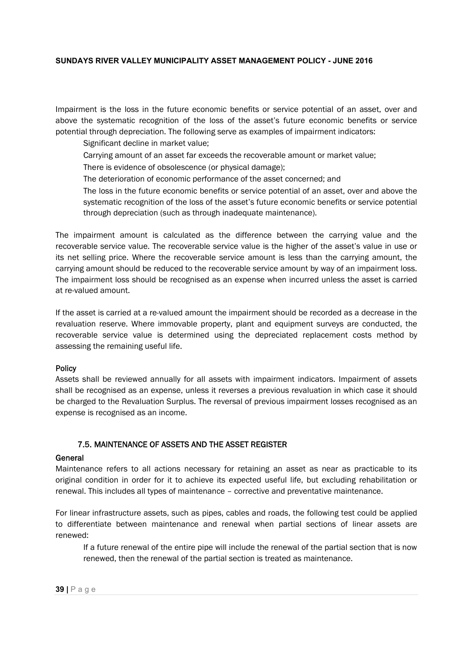Impairment is the loss in the future economic benefits or service potential of an asset, over and above the systematic recognition of the loss of the asset's future economic benefits or service potential through depreciation. The following serve as examples of impairment indicators:

Significant decline in market value;

- Carrying amount of an asset far exceeds the recoverable amount or market value;
- There is evidence of obsolescence (or physical damage);
- The deterioration of economic performance of the asset concerned; and
- The loss in the future economic benefits or service potential of an asset, over and above the systematic recognition of the loss of the asset's future economic benefits or service potential through depreciation (such as through inadequate maintenance).

The impairment amount is calculated as the difference between the carrying value and the recoverable service value. The recoverable service value is the higher of the asset's value in use or its net selling price. Where the recoverable service amount is less than the carrying amount, the carrying amount should be reduced to the recoverable service amount by way of an impairment loss. The impairment loss should be recognised as an expense when incurred unless the asset is carried at re-valued amount.

recoverable service value is determined using the depreciated replacement costs method by If the asset is carried at a re-valued amount the impairment should be recorded as a decrease in the revaluation reserve. Where immovable property, plant and equipment surveys are conducted, the assessing the remaining useful life.

## **Policy**

Assets shall be reviewed annually for all assets with impairment indicators. Impairment of assets shall be recognised as an expense, unless it reverses a previous revaluation in which case it should be charged to the Revaluation Surplus. The reversal of previous impairment losses recognised as an expense is recognised as an income.

## 7.5. MAINTENANCE OF ASSETS AND THE ASSET REGISTER

## General

Maintenance refers to all actions necessary for retaining an asset as near as practicable to its original condition in order for it to achieve its expected useful life, but excluding rehabilitation or renewal. This includes all types of maintenance – corrective and preventative maintenance.

For linear infrastructure assets, such as pipes, cables and roads, the following test could be applied to differentiate between maintenance and renewal when partial sections of linear assets are renewed:

If a future renewal of the entire pipe will include the renewal of the partial section that is now renewed, then the renewal of the partial section is treated as maintenance.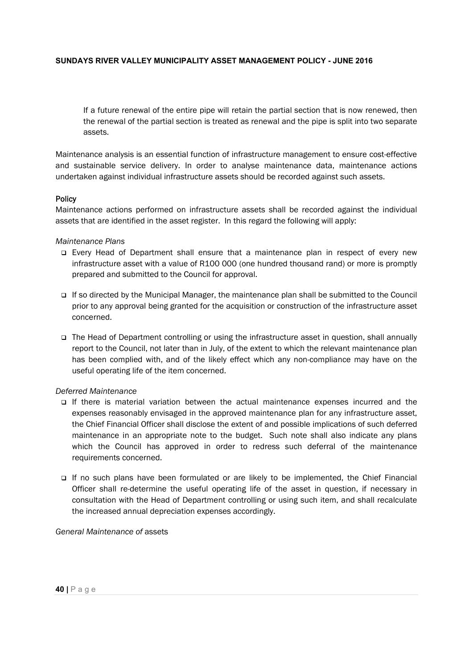If a future renewal of the entire pipe will retain the partial section that is now renewed, then the renewal of the partial section is treated as renewal and the pipe is split into two separate assets.

Maintenance analysis is an essential function of infrastructure management to ensure cost-effective and sustainable service delivery. In order to analyse maintenance data, maintenance actions undertaken against individual infrastructure assets should be recorded against such assets.

#### **Policy**

Maintenance actions performed on infrastructure assets shall be recorded against the individual assets that are identified in the asset register. In this regard the following will apply:

#### *Maintenance Plans*

- Every Head of Department shall ensure that a maintenance plan in respect of every new infrastructure asset with a value of R100 000 (one hundred thousand rand) or more is promptly prepared and submitted to the Council for approval.
- If so directed by the Municipal Manager, the maintenance plan shall be submitted to the Council prior to any approval being granted for the acquisition or construction of the infrastructure asset concerned.
- □ The Head of Department controlling or using the infrastructure asset in question, shall annually report to the Council, not later than in July, of the extent to which the relevant maintenance plan has been complied with, and of the likely effect which any non-compliance may have on the useful operating life of the item concerned.

#### *Deferred Maintenance*

- If there is material variation between the actual maintenance expenses incurred and the expenses reasonably envisaged in the approved maintenance plan for any infrastructure asset, the Chief Financial Officer shall disclose the extent of and possible implications of such deferred maintenance in an appropriate note to the budget. Such note shall also indicate any plans which the Council has approved in order to redress such deferral of the maintenance requirements concerned.
- If no such plans have been formulated or are likely to be implemented, the Chief Financial Officer shall re-determine the useful operating life of the asset in question, if necessary in consultation with the Head of Department controlling or using such item, and shall recalculate the increased annual depreciation expenses accordingly.

*General Maintenance of* assets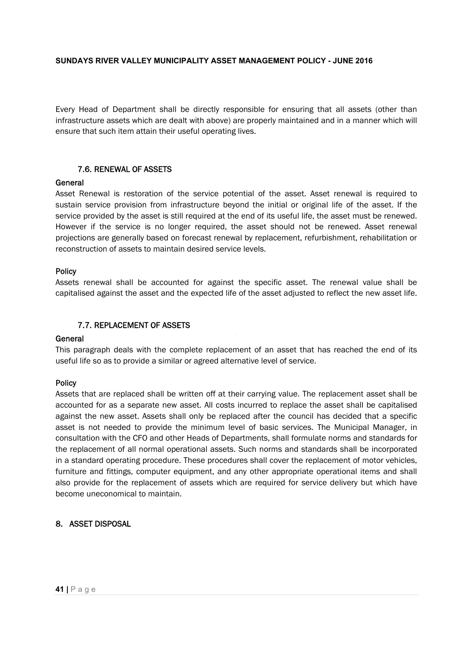Every Head of Department shall be directly responsible for ensuring that all assets (other than infrastructure assets which are dealt with above) are properly maintained and in a manner which will ensure that such item attain their useful operating lives.

# 7.6. RENEWAL OF ASSETS

## General

Asset Renewal is restoration of the service potential of the asset. Asset renewal is required to sustain service provision from infrastructure beyond the initial or original life of the asset. If the service provided by the asset is still required at the end of its useful life, the asset must be renewed. However if the service is no longer required, the asset should not be renewed. Asset renewal projections are generally based on forecast renewal by replacement, refurbishment, rehabilitation or reconstruction of assets to maintain desired service levels.

## Policy

Assets renewal shall be accounted for against the specific asset. The renewal value shall be capitalised against the asset and the expected life of the asset adjusted to reflect the new asset life.

# 7.7. REPLACEMENT OF ASSETS

## **General**

This paragraph deals with the complete replacement of an asset that has reached the end of its useful life so as to provide a similar or agreed alternative level of service.

## Policy

Assets that are replaced shall be written off at their carrying value. The replacement asset shall be accounted for as a separate new asset. All costs incurred to replace the asset shall be capitalised against the new asset. Assets shall only be replaced after the council has decided that a specific asset is not needed to provide the minimum level of basic services. The Municipal Manager, in consultation with the CFO and other Heads of Departments, shall formulate norms and standards for the replacement of all normal operational assets. Such norms and standards shall be incorporated in a standard operating procedure. These procedures shall cover the replacement of motor vehicles, furniture and fittings, computer equipment, and any other appropriate operational items and shall also provide for the replacement of assets which are required for service delivery but which have become uneconomical to maintain.

## 8. ASSET DISPOSAL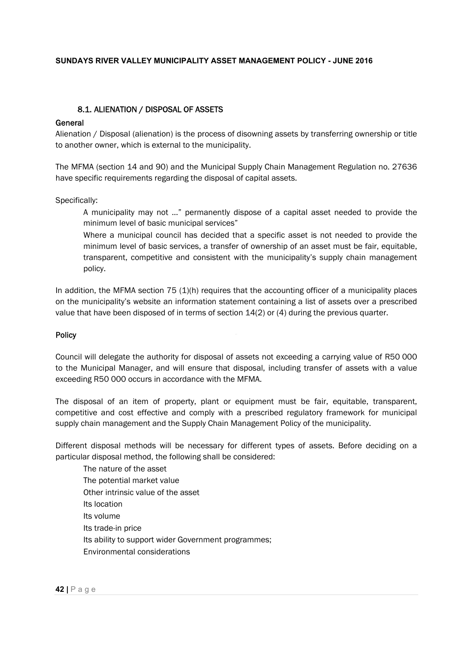## 8.1. ALIENATION / DISPOSAL OF ASSETS

#### General

Alienation / Disposal (alienation) is the process of disowning assets by transferring ownership or title to another owner, which is external to the municipality.

The MFMA (section 14 and 90) and the Municipal Supply Chain Management Regulation no. 27636 have specific requirements regarding the disposal of capital assets.

Specifically:

A municipality may not …" permanently dispose of a capital asset needed to provide the minimum level of basic municipal services"

Where a municipal council has decided that a specific asset is not needed to provide the minimum level of basic services, a transfer of ownership of an asset must be fair, equitable, transparent, competitive and consistent with the municipality's supply chain management policy.

In addition, the MFMA section 75 (1)(h) requires that the accounting officer of a municipality places on the municipality's website an information statement containing a list of assets over a prescribed value that have been disposed of in terms of section 14(2) or (4) during the previous quarter.

#### Policy

Council will delegate the authority for disposal of assets not exceeding a carrying value of R50 000 to the Municipal Manager, and will ensure that disposal, including transfer of assets with a value exceeding R50 000 occurs in accordance with the MFMA.

The disposal of an item of property, plant or equipment must be fair, equitable, transparent, competitive and cost effective and comply with a prescribed regulatory framework for municipal supply chain management and the Supply Chain Management Policy of the municipality.

Different disposal methods will be necessary for different types of assets. Before deciding on a particular disposal method, the following shall be considered:

The nature of the asset The potential market value Other intrinsic value of the asset Its location Its volume Its trade-in price Its ability to support wider Government programmes; Environmental considerations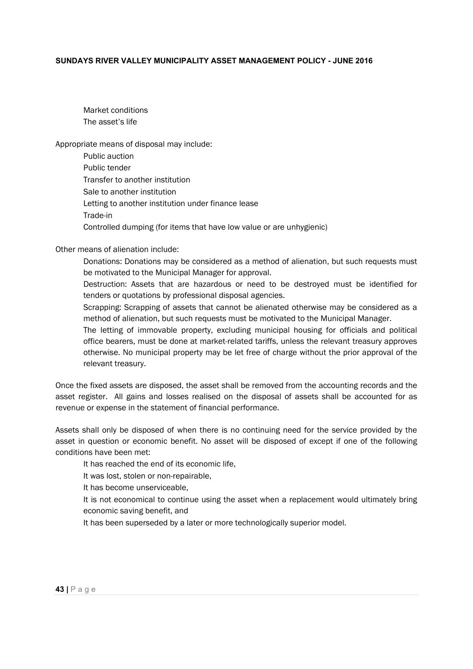Market conditions The asset's life

Appropriate means of disposal may include:

| Public auction                                                       |
|----------------------------------------------------------------------|
| Public tender                                                        |
| Transfer to another institution                                      |
| Sale to another institution                                          |
| Letting to another institution under finance lease                   |
| Trade-in                                                             |
| Controlled dumping (for items that have low value or are unhygienic) |

Other means of alienation include:

Donations: Donations may be considered as a method of alienation, but such requests must be motivated to the Municipal Manager for approval.

Destruction: Assets that are hazardous or need to be destroyed must be identified for tenders or quotations by professional disposal agencies.

Scrapping: Scrapping of assets that cannot be alienated otherwise may be considered as a method of alienation, but such requests must be motivated to the Municipal Manager.

The letting of immovable property, excluding municipal housing for officials and political office bearers, must be done at market-related tariffs, unless the relevant treasury approves otherwise. No municipal property may be let free of charge without the prior approval of the relevant treasury.

Once the fixed assets are disposed, the asset shall be removed from the accounting records and the asset register. All gains and losses realised on the disposal of assets shall be accounted for as revenue or expense in the statement of financial performance.

Assets shall only be disposed of when there is no continuing need for the service provided by the asset in question or economic benefit. No asset will be disposed of except if one of the following conditions have been met:

It has reached the end of its economic life,

It was lost, stolen or non-repairable,

It has become unserviceable,

It is not economical to continue using the asset when a replacement would ultimately bring economic saving benefit, and

It has been superseded by a later or more technologically superior model.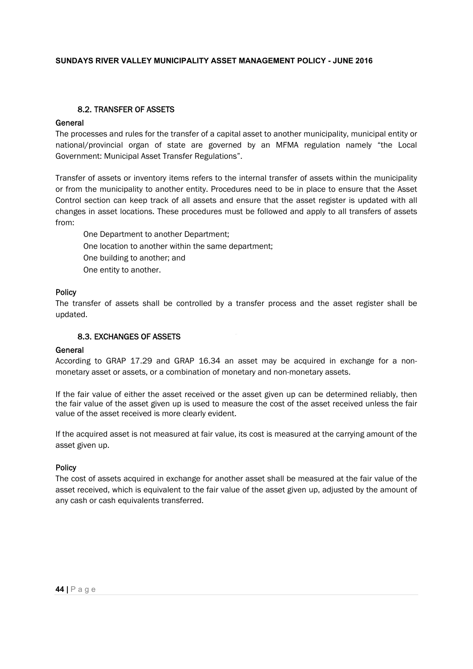## 8.2. TRANSFER OF ASSETS

## **General**

The processes and rules for the transfer of a capital asset to another municipality, municipal entity or national/provincial organ of state are governed by an MFMA regulation namely "the Local Government: Municipal Asset Transfer Regulations".

Transfer of assets or inventory items refers to the internal transfer of assets within the municipality or from the municipality to another entity. Procedures need to be in place to ensure that the Asset Control section can keep track of all assets and ensure that the asset register is updated with all changes in asset locations. These procedures must be followed and apply to all transfers of assets from:

One Department to another Department; One location to another within the same department; One building to another; and One entity to another.

## Policy

The transfer of assets shall be controlled by a transfer process and the asset register shall be updated.

## 8.3. EXCHANGES OF ASSETS

#### General

According to GRAP 17.29 and GRAP 16.34 an asset may be acquired in exchange for a nonmonetary asset or assets, or a combination of monetary and non-monetary assets.

If the fair value of either the asset received or the asset given up can be determined reliably, then the fair value of the asset given up is used to measure the cost of the asset received unless the fair value of the asset received is more clearly evident.

If the acquired asset is not measured at fair value, its cost is measured at the carrying amount of the asset given up.

## **Policy**

The cost of assets acquired in exchange for another asset shall be measured at the fair value of the asset received, which is equivalent to the fair value of the asset given up, adjusted by the amount of any cash or cash equivalents transferred.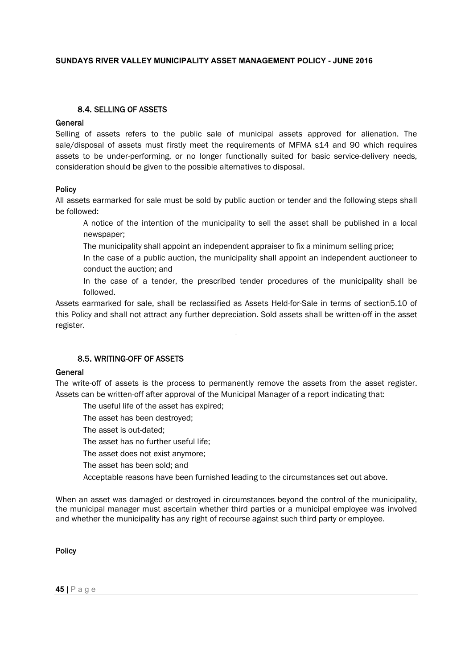## 8.4. SELLING OF ASSETS

## General

Selling of assets refers to the public sale of municipal assets approved for alienation. The sale/disposal of assets must firstly meet the requirements of MFMA s14 and 90 which requires assets to be under-performing, or no longer functionally suited for basic service-delivery needs, consideration should be given to the possible alternatives to disposal.

#### **Policy**

All assets earmarked for sale must be sold by public auction or tender and the following steps shall be followed:

A notice of the intention of the municipality to sell the asset shall be published in a local newspaper;

The municipality shall appoint an independent appraiser to fix a minimum selling price;

In the case of a public auction, the municipality shall appoint an independent auctioneer to conduct the auction; and

In the case of a tender, the prescribed tender procedures of the municipality shall be followed.

Assets earmarked for sale, shall be reclassified as Assets Held-for-Sale in terms of section5.10 of this Policy and shall not attract any further depreciation. Sold assets shall be written-off in the asset register.

## 8.5. WRITING-OFF OF ASSETS

## General

The write-off of assets is the process to permanently remove the assets from the asset register. Assets can be written-off after approval of the Municipal Manager of a report indicating that:

The useful life of the asset has expired;

The asset has been destroyed;

The asset is out-dated;

The asset has no further useful life;

The asset does not exist anymore;

The asset has been sold; and

Acceptable reasons have been furnished leading to the circumstances set out above.

When an asset was damaged or destroyed in circumstances beyond the control of the municipality, the municipal manager must ascertain whether third parties or a municipal employee was involved and whether the municipality has any right of recourse against such third party or employee.

#### Policy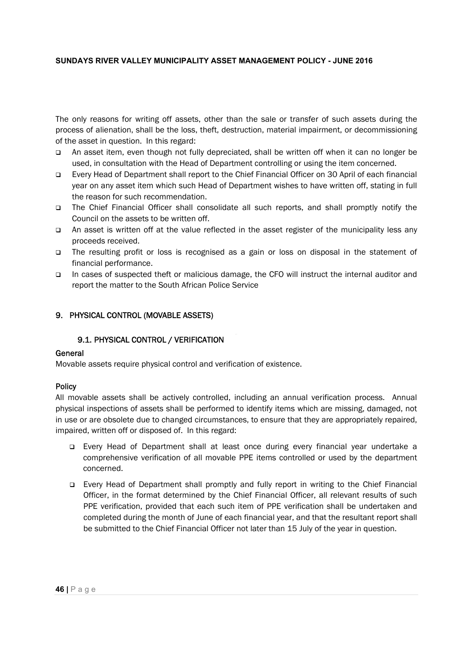The only reasons for writing off assets, other than the sale or transfer of such assets during the process of alienation, shall be the loss, theft, destruction, material impairment, or decommissioning of the asset in question. In this regard:

- An asset item, even though not fully depreciated, shall be written off when it can no longer be used, in consultation with the Head of Department controlling or using the item concerned.
- Every Head of Department shall report to the Chief Financial Officer on 30 April of each financial year on any asset item which such Head of Department wishes to have written off, stating in full the reason for such recommendation.
- The Chief Financial Officer shall consolidate all such reports, and shall promptly notify the Council on the assets to be written off.
- An asset is written off at the value reflected in the asset register of the municipality less any proceeds received.
- The resulting profit or loss is recognised as a gain or loss on disposal in the statement of financial performance.
- In cases of suspected theft or malicious damage, the CFO will instruct the internal auditor and report the matter to the South African Police Service

# 9. PHYSICAL CONTROL (MOVABLE ASSETS)

## 9.1. PHYSICAL CONTROL / VERIFICATION

## General

Movable assets require physical control and verification of existence.

## **Policy**

All movable assets shall be actively controlled, including an annual verification process. Annual physical inspections of assets shall be performed to identify items which are missing, damaged, not in use or are obsolete due to changed circumstances, to ensure that they are appropriately repaired, impaired, written off or disposed of. In this regard:

- Every Head of Department shall at least once during every financial year undertake a comprehensive verification of all movable PPE items controlled or used by the department concerned.
- Every Head of Department shall promptly and fully report in writing to the Chief Financial Officer, in the format determined by the Chief Financial Officer, all relevant results of such PPE verification, provided that each such item of PPE verification shall be undertaken and completed during the month of June of each financial year, and that the resultant report shall be submitted to the Chief Financial Officer not later than 15 July of the year in question.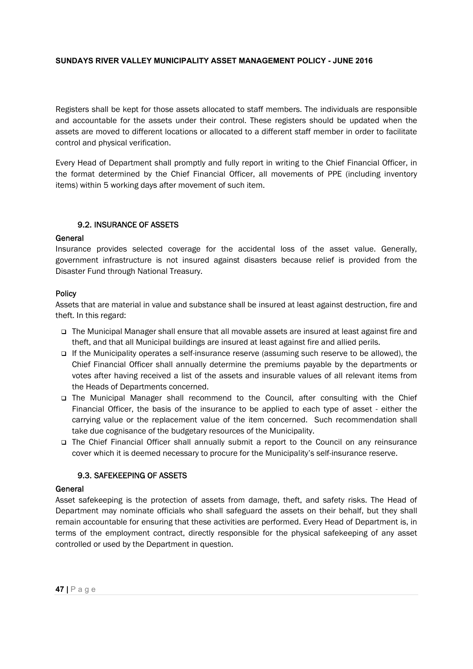Registers shall be kept for those assets allocated to staff members. The individuals are responsible and accountable for the assets under their control. These registers should be updated when the assets are moved to different locations or allocated to a different staff member in order to facilitate control and physical verification.

Every Head of Department shall promptly and fully report in writing to the Chief Financial Officer, in the format determined by the Chief Financial Officer, all movements of PPE (including inventory items) within 5 working days after movement of such item.

# 9.2. INSURANCE OF ASSETS

#### **General**

Insurance provides selected coverage for the accidental loss of the asset value. Generally, government infrastructure is not insured against disasters because relief is provided from the Disaster Fund through National Treasury.

## **Policy**

Assets that are material in value and substance shall be insured at least against destruction, fire and theft. In this regard:

- □ The Municipal Manager shall ensure that all movable assets are insured at least against fire and theft, and that all Municipal buildings are insured at least against fire and allied perils.
- If the Municipality operates a self-insurance reserve (assuming such reserve to be allowed), the Chief Financial Officer shall annually determine the premiums payable by the departments or votes after having received a list of the assets and insurable values of all relevant items from the Heads of Departments concerned.
- The Municipal Manager shall recommend to the Council, after consulting with the Chief Financial Officer, the basis of the insurance to be applied to each type of asset - either the carrying value or the replacement value of the item concerned. Such recommendation shall take due cognisance of the budgetary resources of the Municipality.
- The Chief Financial Officer shall annually submit a report to the Council on any reinsurance cover which it is deemed necessary to procure for the Municipality's self-insurance reserve.

## 9.3. SAFEKEEPING OF ASSETS

## General

Asset safekeeping is the protection of assets from damage, theft, and safety risks. The Head of Department may nominate officials who shall safeguard the assets on their behalf, but they shall remain accountable for ensuring that these activities are performed. Every Head of Department is, in terms of the employment contract, directly responsible for the physical safekeeping of any asset controlled or used by the Department in question.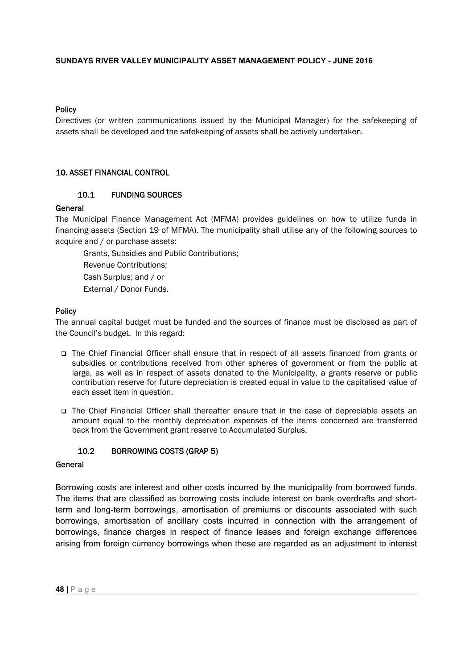#### **Policy**

Directives (or written communications issued by the Municipal Manager) for the safekeeping of assets shall be developed and the safekeeping of assets shall be actively undertaken.

## 10. ASSET FINANCIAL CONTROL

## 10.1 FUNDING SOURCES

#### General

The Municipal Finance Management Act (MFMA) provides guidelines on how to utilize funds in financing assets (Section 19 of MFMA). The municipality shall utilise any of the following sources to acquire and / or purchase assets:

Grants, Subsidies and Public Contributions; Revenue Contributions; Cash Surplus; and / or

External / Donor Funds.

#### Policy

The annual capital budget must be funded and the sources of finance must be disclosed as part of the Council's budget. In this regard:

- The Chief Financial Officer shall ensure that in respect of all assets financed from grants or subsidies or contributions received from other spheres of government or from the public at large, as well as in respect of assets donated to the Municipality, a grants reserve or public contribution reserve for future depreciation is created equal in value to the capitalised value of each asset item in question.
- The Chief Financial Officer shall thereafter ensure that in the case of depreciable assets an amount equal to the monthly depreciation expenses of the items concerned are transferred back from the Government grant reserve to Accumulated Surplus.

## 10.2 BORROWING COSTS (GRAP 5)

# General

Borrowing costs are interest and other costs incurred by the municipality from borrowed funds. The items that are classified as borrowing costs include interest on bank overdrafts and shortterm and long-term borrowings, amortisation of premiums or discounts associated with such borrowings, amortisation of ancillary costs incurred in connection with the arrangement of borrowings, finance charges in respect of finance leases and foreign exchange differences arising from foreign currency borrowings when these are regarded as an adjustment to interest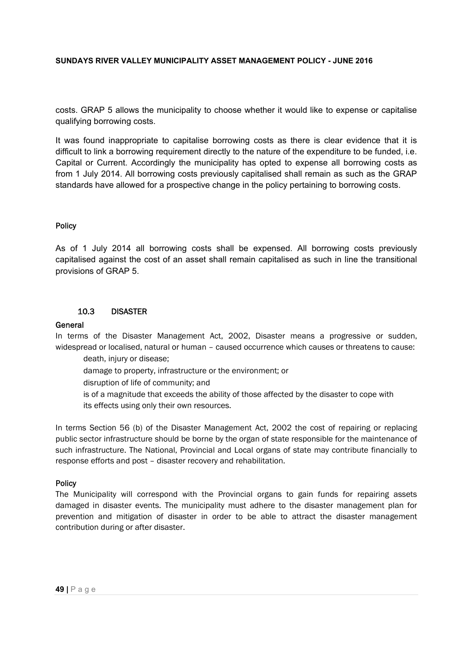costs. GRAP 5 allows the municipality to choose whether it would like to expense or capitalise qualifying borrowing costs.

It was found inappropriate to capitalise borrowing costs as there is clear evidence that it is difficult to link a borrowing requirement directly to the nature of the expenditure to be funded, i.e. Capital or Current. Accordingly the municipality has opted to expense all borrowing costs as from 1 July 2014. All borrowing costs previously capitalised shall remain as such as the GRAP standards have allowed for a prospective change in the policy pertaining to borrowing costs.

# Policy

As of 1 July 2014 all borrowing costs shall be expensed. All borrowing costs previously capitalised against the cost of an asset shall remain capitalised as such in line the transitional provisions of GRAP 5.

# 10.3 DISASTER

#### **General**

In terms of the Disaster Management Act, 2002, Disaster means a progressive or sudden, widespread or localised, natural or human – caused occurrence which causes or threatens to cause:

death, injury or disease; damage to property, infrastructure or the environment; or disruption of life of community; and is of a magnitude that exceeds the ability of those affected by the disaster to cope with its effects using only their own resources.

In terms Section 56 (b) of the Disaster Management Act, 2002 the cost of repairing or replacing public sector infrastructure should be borne by the organ of state responsible for the maintenance of such infrastructure. The National, Provincial and Local organs of state may contribute financially to response efforts and post – disaster recovery and rehabilitation.

#### **Policy**

The Municipality will correspond with the Provincial organs to gain funds for repairing assets damaged in disaster events. The municipality must adhere to the disaster management plan for prevention and mitigation of disaster in order to be able to attract the disaster management contribution during or after disaster.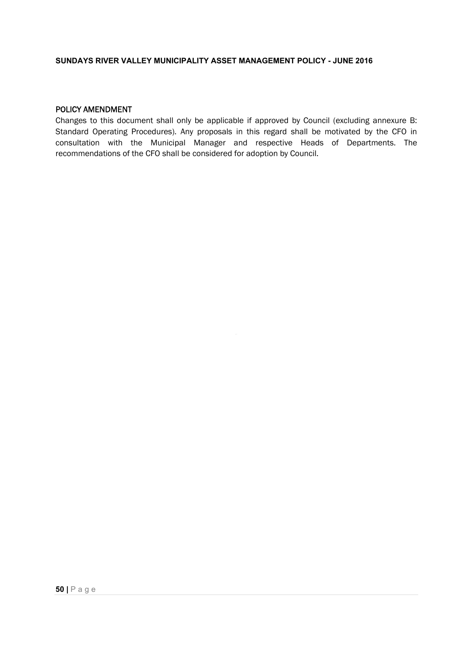# POLICY AMENDMENT

Changes to this document shall only be applicable if approved by Council (excluding annexure B: Standard Operating Procedures). Any proposals in this regard shall be motivated by the CFO in consultation with the Municipal Manager and respective Heads of Departments. The recommendations of the CFO shall be considered for adoption by Council.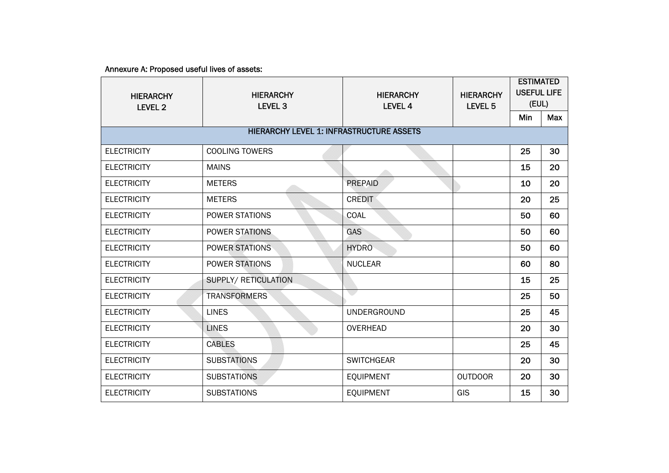Annexure A: Proposed useful lives of assets:

| <b>HIERARCHY</b><br><b>LEVEL 2</b>              | <b>HIERARCHY</b><br><b>LEVEL 3</b> | <b>HIERARCHY</b><br><b>LEVEL 4</b> | <b>HIERARCHY</b><br>LEVEL <sub>5</sub> | <b>ESTIMATED</b><br><b>USEFUL LIFE</b><br>(EUL) |            |
|-------------------------------------------------|------------------------------------|------------------------------------|----------------------------------------|-------------------------------------------------|------------|
|                                                 |                                    |                                    |                                        | <b>Min</b>                                      | <b>Max</b> |
| <b>HIERARCHY LEVEL 1: INFRASTRUCTURE ASSETS</b> |                                    |                                    |                                        |                                                 |            |
| <b>ELECTRICITY</b>                              | <b>COOLING TOWERS</b>              |                                    |                                        | 25                                              | 30         |
| <b>ELECTRICITY</b>                              | <b>MAINS</b>                       |                                    |                                        | 15                                              | 20         |
| <b>ELECTRICITY</b>                              | <b>METERS</b>                      | PREPAID                            |                                        | 10                                              | 20         |
| <b>ELECTRICITY</b>                              | <b>METERS</b>                      | <b>CREDIT</b>                      |                                        | 20                                              | 25         |
| <b>ELECTRICITY</b>                              | POWER STATIONS                     | <b>COAL</b>                        |                                        | 50                                              | 60         |
| <b>ELECTRICITY</b>                              | POWER STATIONS                     | <b>GAS</b>                         |                                        | 50                                              | 60         |
| <b>ELECTRICITY</b>                              | <b>POWER STATIONS</b>              | <b>HYDRO</b>                       |                                        | 50                                              | 60         |
| <b>ELECTRICITY</b>                              | POWER STATIONS                     | <b>NUCLEAR</b>                     |                                        | 60                                              | 80         |
| <b>ELECTRICITY</b>                              | SUPPLY/ RETICULATION               |                                    |                                        | 15                                              | 25         |
| <b>ELECTRICITY</b>                              | <b>TRANSFORMERS</b>                |                                    |                                        | 25                                              | 50         |
| <b>ELECTRICITY</b>                              | <b>LINES</b>                       | <b>UNDERGROUND</b>                 |                                        | 25                                              | 45         |
| <b>ELECTRICITY</b>                              | <b>LINES</b>                       | <b>OVERHEAD</b>                    |                                        | 20                                              | 30         |
| <b>ELECTRICITY</b>                              | <b>CABLES</b>                      |                                    |                                        | 25                                              | 45         |
| <b>ELECTRICITY</b>                              | <b>SUBSTATIONS</b>                 | <b>SWITCHGEAR</b>                  |                                        | 20                                              | 30         |
| <b>ELECTRICITY</b>                              | <b>SUBSTATIONS</b>                 | <b>EQUIPMENT</b>                   | <b>OUTDOOR</b>                         | 20                                              | 30         |
| <b>ELECTRICITY</b>                              | <b>SUBSTATIONS</b>                 | <b>EQUIPMENT</b>                   | GIS                                    | 15                                              | 30         |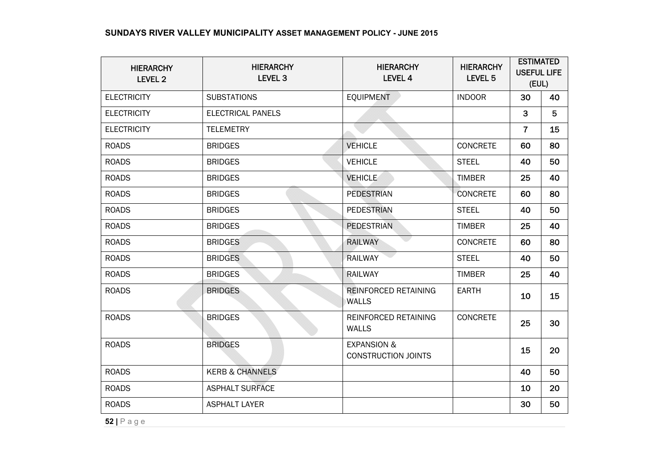| <b>HIERARCHY</b><br>LEVEL 2 | <b>HIERARCHY</b><br>LEVEL <sub>3</sub> | <b>HIERARCHY</b><br>LEVEL 4                          | <b>HIERARCHY</b><br>LEVEL <sub>5</sub> | <b>ESTIMATED</b><br><b>USEFUL LIFE</b><br>(EUL) |    |
|-----------------------------|----------------------------------------|------------------------------------------------------|----------------------------------------|-------------------------------------------------|----|
| <b>ELECTRICITY</b>          | <b>SUBSTATIONS</b>                     | <b>EQUIPMENT</b>                                     | <b>INDOOR</b>                          | 30                                              | 40 |
| <b>ELECTRICITY</b>          | <b>ELECTRICAL PANELS</b>               |                                                      |                                        | $\mathbf{3}$                                    | 5  |
| <b>ELECTRICITY</b>          | <b>TELEMETRY</b>                       |                                                      |                                        | $\overline{7}$                                  | 15 |
| <b>ROADS</b>                | <b>BRIDGES</b>                         | <b>VEHICLE</b>                                       | <b>CONCRETE</b>                        | 60                                              | 80 |
| <b>ROADS</b>                | <b>BRIDGES</b>                         | <b>VEHICLE</b>                                       | <b>STEEL</b>                           | 40                                              | 50 |
| <b>ROADS</b>                | <b>BRIDGES</b>                         | <b>VEHICLE</b>                                       | <b>TIMBER</b>                          | 25                                              | 40 |
| <b>ROADS</b>                | <b>BRIDGES</b>                         | <b>PEDESTRIAN</b>                                    | <b>CONCRETE</b>                        | 60                                              | 80 |
| <b>ROADS</b>                | <b>BRIDGES</b>                         | <b>PEDESTRIAN</b>                                    | <b>STEEL</b>                           | 40                                              | 50 |
| <b>ROADS</b>                | <b>BRIDGES</b>                         | <b>PEDESTRIAN</b>                                    | <b>TIMBER</b>                          | 25                                              | 40 |
| <b>ROADS</b>                | <b>BRIDGES</b>                         | <b>RAILWAY</b>                                       | <b>CONCRETE</b>                        | 60                                              | 80 |
| <b>ROADS</b>                | <b>BRIDGES</b>                         | <b>RAILWAY</b>                                       | <b>STEEL</b>                           | 40                                              | 50 |
| <b>ROADS</b>                | <b>BRIDGES</b>                         | <b>RAILWAY</b>                                       | <b>TIMBER</b>                          | 25                                              | 40 |
| <b>ROADS</b>                | <b>BRIDGES</b>                         | REINFORCED RETAINING<br><b>WALLS</b>                 | <b>EARTH</b>                           | 10                                              | 15 |
| <b>ROADS</b>                | <b>BRIDGES</b>                         | REINFORCED RETAINING<br><b>WALLS</b>                 | <b>CONCRETE</b>                        | 25                                              | 30 |
| <b>ROADS</b>                | <b>BRIDGES</b>                         | <b>EXPANSION &amp;</b><br><b>CONSTRUCTION JOINTS</b> |                                        | 15                                              | 20 |
| <b>ROADS</b>                | <b>KERB &amp; CHANNELS</b>             |                                                      |                                        | 40                                              | 50 |
| <b>ROADS</b>                | <b>ASPHALT SURFACE</b>                 |                                                      |                                        | 10                                              | 20 |
| <b>ROADS</b>                | <b>ASPHALT LAYER</b>                   |                                                      |                                        | 30                                              | 50 |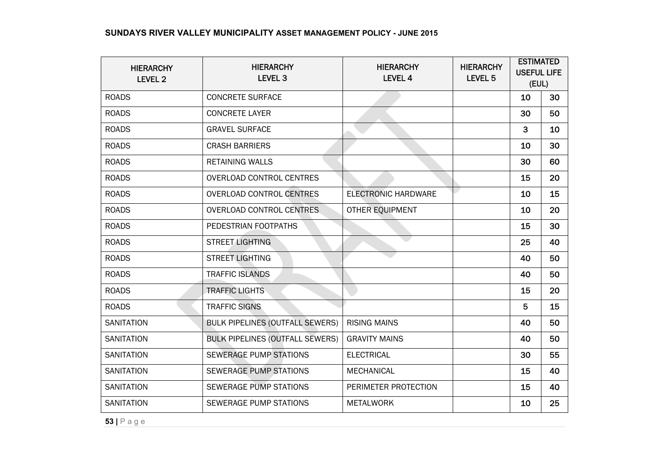| <b>HIERARCHY</b>  | <b>HIERARCHY</b>                       | <b>HIERARCHY</b>           | <b>HIERARCHY</b>   | <b>ESTIMATED</b><br><b>USEFUL LIFE</b> |    |
|-------------------|----------------------------------------|----------------------------|--------------------|----------------------------------------|----|
| <b>LEVEL 2</b>    | LEVEL <sub>3</sub>                     | LEVEL 4                    | LEVEL <sub>5</sub> | (EUL)                                  |    |
| <b>ROADS</b>      | <b>CONCRETE SURFACE</b>                |                            |                    | 10                                     | 30 |
| <b>ROADS</b>      | <b>CONCRETE LAYER</b>                  |                            |                    | 30                                     | 50 |
| <b>ROADS</b>      | <b>GRAVEL SURFACE</b>                  |                            |                    | 3                                      | 10 |
| <b>ROADS</b>      | <b>CRASH BARRIERS</b>                  |                            |                    | 10                                     | 30 |
| <b>ROADS</b>      | <b>RETAINING WALLS</b>                 |                            |                    | 30                                     | 60 |
| <b>ROADS</b>      | <b>OVERLOAD CONTROL CENTRES</b>        |                            |                    | 15                                     | 20 |
| <b>ROADS</b>      | <b>OVERLOAD CONTROL CENTRES</b>        | <b>ELECTRONIC HARDWARE</b> |                    | 10                                     | 15 |
| <b>ROADS</b>      | <b>OVERLOAD CONTROL CENTRES</b>        | OTHER EQUIPMENT            |                    | 10                                     | 20 |
| <b>ROADS</b>      | PEDESTRIAN FOOTPATHS                   |                            |                    | 15                                     | 30 |
| <b>ROADS</b>      | <b>STREET LIGHTING</b>                 |                            |                    | 25                                     | 40 |
| <b>ROADS</b>      | <b>STREET LIGHTING</b>                 |                            |                    | 40                                     | 50 |
| <b>ROADS</b>      | <b>TRAFFIC ISLANDS</b>                 |                            |                    | 40                                     | 50 |
| <b>ROADS</b>      | <b>TRAFFIC LIGHTS</b>                  |                            |                    | 15                                     | 20 |
| <b>ROADS</b>      | <b>TRAFFIC SIGNS</b>                   |                            |                    | 5                                      | 15 |
| <b>SANITATION</b> | <b>BULK PIPELINES (OUTFALL SEWERS)</b> | <b>RISING MAINS</b>        |                    | 40                                     | 50 |
| <b>SANITATION</b> | <b>BULK PIPELINES (OUTFALL SEWERS)</b> | <b>GRAVITY MAINS</b>       |                    | 40                                     | 50 |
| <b>SANITATION</b> | <b>SEWERAGE PUMP STATIONS</b>          | <b>ELECTRICAL</b>          |                    | 30                                     | 55 |
| <b>SANITATION</b> | <b>SEWERAGE PUMP STATIONS</b>          | MECHANICAL                 |                    | 15                                     | 40 |
| <b>SANITATION</b> | SEWERAGE PUMP STATIONS                 | PERIMETER PROTECTION       |                    | 15                                     | 40 |
| <b>SANITATION</b> | SEWERAGE PUMP STATIONS                 | <b>METALWORK</b>           |                    | 10                                     | 25 |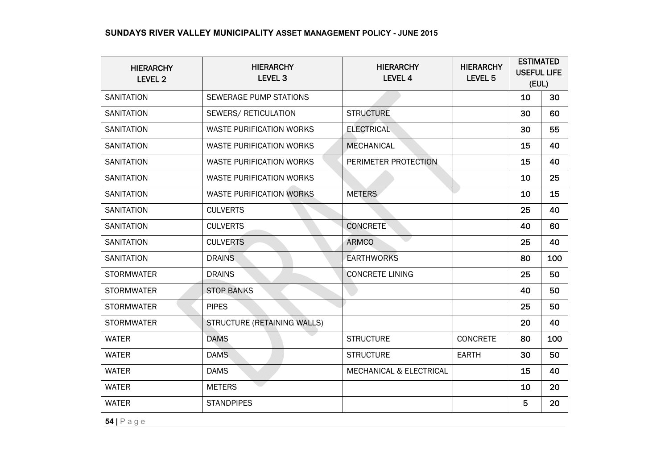| <b>HIERARCHY</b><br><b>LEVEL 2</b> | <b>HIERARCHY</b><br>LEVEL <sub>3</sub> | <b>HIERARCHY</b><br><b>LEVEL 4</b> | <b>HIERARCHY</b><br>LEVEL <sub>5</sub> | <b>ESTIMATED</b><br><b>USEFUL LIFE</b><br>(EUL) |     |
|------------------------------------|----------------------------------------|------------------------------------|----------------------------------------|-------------------------------------------------|-----|
| <b>SANITATION</b>                  | SEWERAGE PUMP STATIONS                 |                                    |                                        | 10                                              | 30  |
| <b>SANITATION</b>                  | SEWERS/ RETICULATION                   | <b>STRUCTURE</b>                   |                                        | 30                                              | 60  |
| <b>SANITATION</b>                  | <b>WASTE PURIFICATION WORKS</b>        | <b>ELECTRICAL</b>                  |                                        | 30                                              | 55  |
| <b>SANITATION</b>                  | WASTE PURIFICATION WORKS               | <b>MECHANICAL</b>                  |                                        | 15                                              | 40  |
| <b>SANITATION</b>                  | <b>WASTE PURIFICATION WORKS</b>        | PERIMETER PROTECTION               |                                        | 15                                              | 40  |
| <b>SANITATION</b>                  | <b>WASTE PURIFICATION WORKS</b>        |                                    |                                        | 10                                              | 25  |
| <b>SANITATION</b>                  | <b>WASTE PURIFICATION WORKS</b>        | <b>METERS</b>                      |                                        | 10                                              | 15  |
| <b>SANITATION</b>                  | <b>CULVERTS</b>                        |                                    |                                        | 25                                              | 40  |
| <b>SANITATION</b>                  | <b>CULVERTS</b>                        | <b>CONCRETE</b>                    |                                        | 40                                              | 60  |
| <b>SANITATION</b>                  | <b>CULVERTS</b>                        | <b>ARMCO</b>                       |                                        | 25                                              | 40  |
| <b>SANITATION</b>                  | <b>DRAINS</b>                          | <b>EARTHWORKS</b>                  |                                        | 80                                              | 100 |
| <b>STORMWATER</b>                  | <b>DRAINS</b>                          | <b>CONCRETE LINING</b>             |                                        | 25                                              | 50  |
| <b>STORMWATER</b>                  | <b>STOP BANKS</b>                      |                                    |                                        | 40                                              | 50  |
| <b>STORMWATER</b>                  | <b>PIPES</b>                           |                                    |                                        | 25                                              | 50  |
| <b>STORMWATER</b>                  | STRUCTURE (RETAINING WALLS)            |                                    |                                        | 20                                              | 40  |
| <b>WATER</b>                       | <b>DAMS</b>                            | <b>STRUCTURE</b>                   | <b>CONCRETE</b>                        | 80                                              | 100 |
| <b>WATER</b>                       | <b>DAMS</b>                            | <b>STRUCTURE</b>                   | <b>EARTH</b>                           | 30                                              | 50  |
| <b>WATER</b>                       | <b>DAMS</b>                            | <b>MECHANICAL &amp; ELECTRICAL</b> |                                        | 15                                              | 40  |
| <b>WATER</b>                       | <b>METERS</b>                          |                                    |                                        | 10                                              | 20  |
| <b>WATER</b>                       | <b>STANDPIPES</b>                      |                                    |                                        | 5                                               | 20  |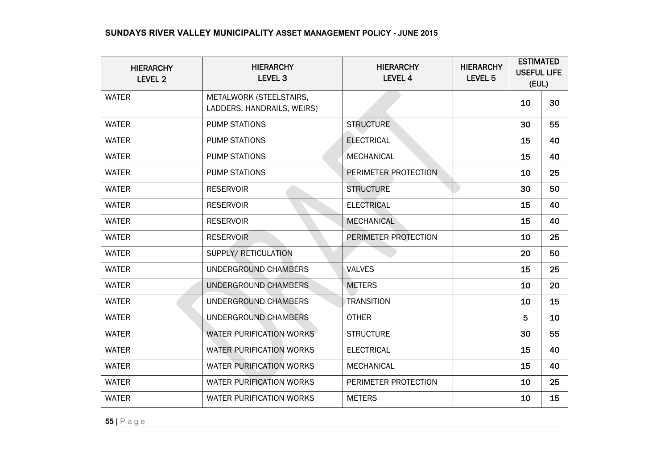| <b>HIERARCHY</b><br>LEVEL 2 | <b>HIERARCHY</b><br><b>LEVEL 3</b>                    | <b>HIERARCHY</b><br>LEVEL 4 | <b>HIERARCHY</b><br>LEVEL <sub>5</sub> | <b>ESTIMATED</b><br><b>USEFUL LIFE</b><br>(EUL) |    |
|-----------------------------|-------------------------------------------------------|-----------------------------|----------------------------------------|-------------------------------------------------|----|
| <b>WATER</b>                | METALWORK (STEELSTAIRS,<br>LADDERS, HANDRAILS, WEIRS) |                             |                                        | 10                                              | 30 |
| <b>WATER</b>                | <b>PUMP STATIONS</b>                                  | <b>STRUCTURE</b>            |                                        | 30                                              | 55 |
| <b>WATER</b>                | <b>PUMP STATIONS</b>                                  | <b>ELECTRICAL</b>           |                                        | 15                                              | 40 |
| <b>WATER</b>                | <b>PUMP STATIONS</b>                                  | <b>MECHANICAL</b>           |                                        | 15                                              | 40 |
| <b>WATER</b>                | <b>PUMP STATIONS</b>                                  | PERIMETER PROTECTION        |                                        | 10                                              | 25 |
| <b>WATER</b>                | <b>RESERVOIR</b>                                      | <b>STRUCTURE</b>            |                                        | 30                                              | 50 |
| <b>WATER</b>                | <b>RESERVOIR</b>                                      | <b>ELECTRICAL</b>           |                                        | 15                                              | 40 |
| <b>WATER</b>                | <b>RESERVOIR</b>                                      | <b>MECHANICAL</b>           |                                        | 15                                              | 40 |
| <b>WATER</b>                | <b>RESERVOIR</b>                                      | PERIMETER PROTECTION        |                                        | 10                                              | 25 |
| <b>WATER</b>                | SUPPLY/ RETICULATION                                  |                             |                                        | 20                                              | 50 |
| <b>WATER</b>                | UNDERGROUND CHAMBERS                                  | <b>VALVES</b>               |                                        | 15                                              | 25 |
| <b>WATER</b>                | UNDERGROUND CHAMBERS                                  | <b>METERS</b>               |                                        | 10                                              | 20 |
| <b>WATER</b>                | UNDERGROUND CHAMBERS                                  | <b>TRANSITION</b>           |                                        | 10                                              | 15 |
| <b>WATER</b>                | UNDERGROUND CHAMBERS                                  | <b>OTHER</b>                |                                        | 5                                               | 10 |
| <b>WATER</b>                | WATER PURIFICATION WORKS                              | <b>STRUCTURE</b>            |                                        | 30                                              | 55 |
| <b>WATER</b>                | <b>WATER PURIFICATION WORKS</b>                       | <b>ELECTRICAL</b>           |                                        | 15                                              | 40 |
| <b>WATER</b>                | <b>WATER PURIFICATION WORKS</b>                       | <b>MECHANICAL</b>           |                                        | 15                                              | 40 |
| <b>WATER</b>                | <b>WATER PURIFICATION WORKS</b>                       | PERIMETER PROTECTION        |                                        | 10                                              | 25 |
| <b>WATER</b>                | <b>WATER PURIFICATION WORKS</b>                       | <b>METERS</b>               |                                        | 10                                              | 15 |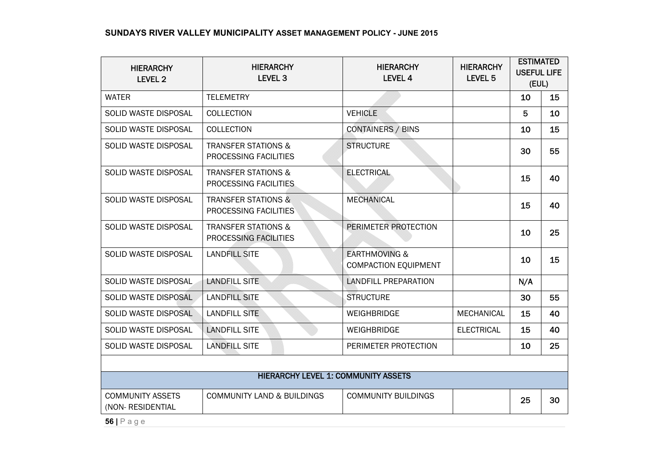| <b>HIERARCHY</b><br><b>LEVEL 2</b>                                  | <b>HIERARCHY</b><br>LEVEL <sub>3</sub>                  | <b>HIERARCHY</b><br>LEVEL 4                      | <b>HIERARCHY</b><br>LEVEL <sub>5</sub> | <b>ESTIMATED</b><br><b>USEFUL LIFE</b><br>(EUL) |    |
|---------------------------------------------------------------------|---------------------------------------------------------|--------------------------------------------------|----------------------------------------|-------------------------------------------------|----|
| <b>WATER</b>                                                        | <b>TELEMETRY</b>                                        |                                                  |                                        | 10                                              | 15 |
| SOLID WASTE DISPOSAL                                                | <b>COLLECTION</b>                                       | <b>VEHICLE</b>                                   |                                        | 5                                               | 10 |
| SOLID WASTE DISPOSAL                                                | <b>COLLECTION</b>                                       | <b>CONTAINERS / BINS</b>                         |                                        | 10                                              | 15 |
| SOLID WASTE DISPOSAL                                                | <b>TRANSFER STATIONS &amp;</b><br>PROCESSING FACILITIES | <b>STRUCTURE</b>                                 |                                        | 30                                              | 55 |
| SOLID WASTE DISPOSAL                                                | <b>TRANSFER STATIONS &amp;</b><br>PROCESSING FACILITIES | <b>ELECTRICAL</b>                                |                                        | 15                                              | 40 |
| <b>SOLID WASTE DISPOSAL</b>                                         | <b>TRANSFER STATIONS &amp;</b><br>PROCESSING FACILITIES | <b>MECHANICAL</b>                                |                                        | 15                                              | 40 |
| SOLID WASTE DISPOSAL                                                | <b>TRANSFER STATIONS &amp;</b><br>PROCESSING FACILITIES | PERIMETER PROTECTION                             |                                        | 10                                              | 25 |
| SOLID WASTE DISPOSAL                                                | <b>LANDFILL SITE</b>                                    | <b>EARTHMOVING &amp;</b><br>COMPACTION EQUIPMENT |                                        | 10                                              | 15 |
| <b>SOLID WASTE DISPOSAL</b>                                         | <b>LANDFILL SITE</b>                                    | <b>LANDFILL PREPARATION</b>                      |                                        | N/A                                             |    |
| SOLID WASTE DISPOSAL                                                | <b>LANDFILL SITE</b>                                    | <b>STRUCTURE</b>                                 |                                        | 30                                              | 55 |
| SOLID WASTE DISPOSAL                                                | <b>LANDFILL SITE</b>                                    | <b>WEIGHBRIDGE</b>                               | <b>MECHANICAL</b>                      | 15                                              | 40 |
| <b>SOLID WASTE DISPOSAL</b>                                         | <b>LANDFILL SITE</b>                                    | <b>WEIGHBRIDGE</b>                               | <b>ELECTRICAL</b>                      | 15                                              | 40 |
| <b>SOLID WASTE DISPOSAL</b>                                         | <b>LANDFILL SITE</b>                                    | PERIMETER PROTECTION                             |                                        | 10                                              | 25 |
|                                                                     |                                                         |                                                  |                                        |                                                 |    |
| <b>HIERARCHY LEVEL 1: COMMUNITY ASSETS</b>                          |                                                         |                                                  |                                        |                                                 |    |
| <b>COMMUNITY ASSETS</b><br>(NON- RESIDENTIAL<br>$P^{\wedge}$ $\Box$ | <b>COMMUNITY LAND &amp; BUILDINGS</b>                   | <b>COMMUNITY BUILDINGS</b>                       |                                        | 25                                              | 30 |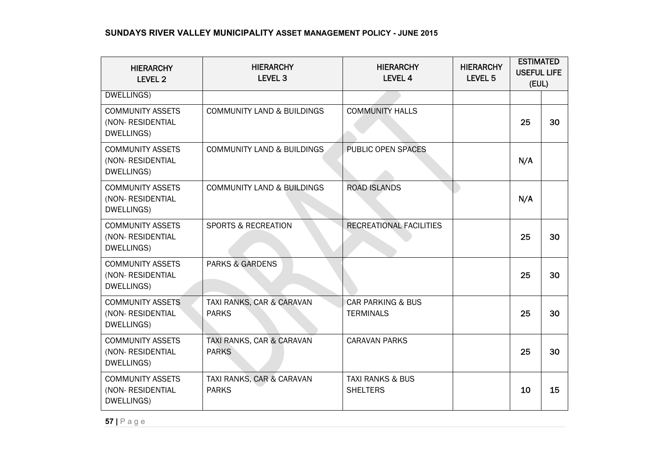| <b>HIERARCHY</b><br>LEVEL 2                                | <b>HIERARCHY</b><br><b>LEVEL 3</b>        | <b>HIERARCHY</b><br><b>LEVEL 4</b>               | <b>HIERARCHY</b><br>LEVEL <sub>5</sub> | <b>ESTIMATED</b><br><b>USEFUL LIFE</b><br>(EUL) |    |
|------------------------------------------------------------|-------------------------------------------|--------------------------------------------------|----------------------------------------|-------------------------------------------------|----|
| DWELLINGS)                                                 |                                           |                                                  |                                        |                                                 |    |
| <b>COMMUNITY ASSETS</b><br>(NON- RESIDENTIAL<br>DWELLINGS) | <b>COMMUNITY LAND &amp; BUILDINGS</b>     | <b>COMMUNITY HALLS</b>                           |                                        | 25                                              | 30 |
| <b>COMMUNITY ASSETS</b><br>(NON-RESIDENTIAL<br>DWELLINGS)  | <b>COMMUNITY LAND &amp; BUILDINGS</b>     | PUBLIC OPEN SPACES                               |                                        | N/A                                             |    |
| <b>COMMUNITY ASSETS</b><br>(NON-RESIDENTIAL<br>DWELLINGS)  | <b>COMMUNITY LAND &amp; BUILDINGS</b>     | <b>ROAD ISLANDS</b>                              |                                        | N/A                                             |    |
| <b>COMMUNITY ASSETS</b><br>(NON-RESIDENTIAL<br>DWELLINGS)  | <b>SPORTS &amp; RECREATION</b>            | RECREATIONAL FACILITIES                          |                                        | 25                                              | 30 |
| <b>COMMUNITY ASSETS</b><br>(NON-RESIDENTIAL<br>DWELLINGS)  | <b>PARKS &amp; GARDENS</b>                |                                                  |                                        | 25                                              | 30 |
| <b>COMMUNITY ASSETS</b><br>(NON- RESIDENTIAL<br>DWELLINGS) | TAXI RANKS, CAR & CARAVAN<br><b>PARKS</b> | <b>CAR PARKING &amp; BUS</b><br><b>TERMINALS</b> |                                        | 25                                              | 30 |
| <b>COMMUNITY ASSETS</b><br>(NON- RESIDENTIAL<br>DWELLINGS) | TAXI RANKS, CAR & CARAVAN<br><b>PARKS</b> | <b>CARAVAN PARKS</b>                             |                                        | 25                                              | 30 |
| <b>COMMUNITY ASSETS</b><br>(NON- RESIDENTIAL<br>DWELLINGS) | TAXI RANKS, CAR & CARAVAN<br><b>PARKS</b> | <b>TAXI RANKS &amp; BUS</b><br><b>SHELTERS</b>   |                                        | 10                                              | 15 |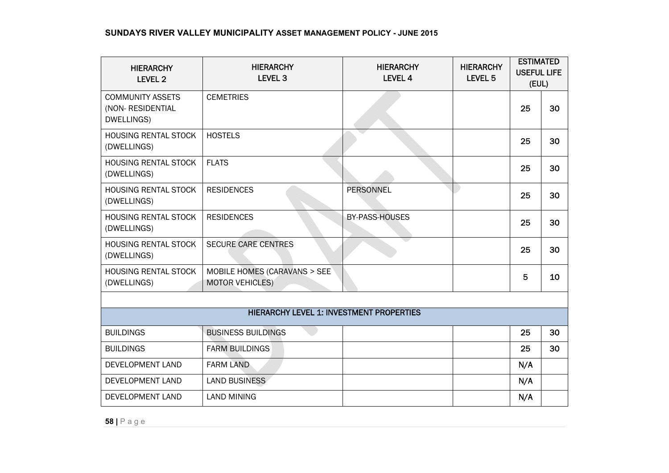| <b>HIERARCHY</b><br>LEVEL <sub>2</sub>                    | <b>HIERARCHY</b><br>LEVEL <sub>3</sub>                 | <b>HIERARCHY</b><br><b>LEVEL 4</b> | <b>HIERARCHY</b><br>LEVEL <sub>5</sub> | <b>ESTIMATED</b><br><b>USEFUL LIFE</b><br>(EUL) |    |
|-----------------------------------------------------------|--------------------------------------------------------|------------------------------------|----------------------------------------|-------------------------------------------------|----|
| <b>COMMUNITY ASSETS</b><br>(NON-RESIDENTIAL<br>DWELLINGS) | <b>CEMETRIES</b>                                       |                                    |                                        | 25                                              | 30 |
| HOUSING RENTAL STOCK<br>(DWELLINGS)                       | <b>HOSTELS</b>                                         |                                    |                                        | 25                                              | 30 |
| HOUSING RENTAL STOCK<br>(DWELLINGS)                       | <b>FLATS</b>                                           |                                    |                                        | 25                                              | 30 |
| <b>HOUSING RENTAL STOCK</b><br>(DWELLINGS)                | <b>RESIDENCES</b>                                      | <b>PERSONNEL</b>                   |                                        | 25                                              | 30 |
| <b>HOUSING RENTAL STOCK</b><br>(DWELLINGS)                | <b>RESIDENCES</b>                                      | BY-PASS-HOUSES                     |                                        | 25                                              | 30 |
| <b>HOUSING RENTAL STOCK</b><br>(DWELLINGS)                | <b>SECURE CARE CENTRES</b>                             |                                    |                                        | 25                                              | 30 |
| HOUSING RENTAL STOCK<br>(DWELLINGS)                       | MOBILE HOMES (CARAVANS > SEE<br><b>MOTOR VEHICLES)</b> |                                    |                                        | 5                                               | 10 |
|                                                           |                                                        |                                    |                                        |                                                 |    |
|                                                           | <b>HIERARCHY LEVEL 1: INVESTMENT PROPERTIES</b>        |                                    |                                        |                                                 |    |
| <b>BUILDINGS</b>                                          | <b>BUSINESS BUILDINGS</b>                              |                                    |                                        | 25                                              | 30 |
| <b>BUILDINGS</b>                                          | <b>FARM BUILDINGS</b>                                  |                                    |                                        | 25                                              | 30 |
| DEVELOPMENT LAND                                          | <b>FARM LAND</b>                                       |                                    |                                        | N/A                                             |    |
| DEVELOPMENT LAND                                          | <b>LAND BUSINESS</b>                                   |                                    |                                        | N/A                                             |    |
| DEVELOPMENT LAND                                          | <b>LAND MINING</b>                                     |                                    |                                        | N/A                                             |    |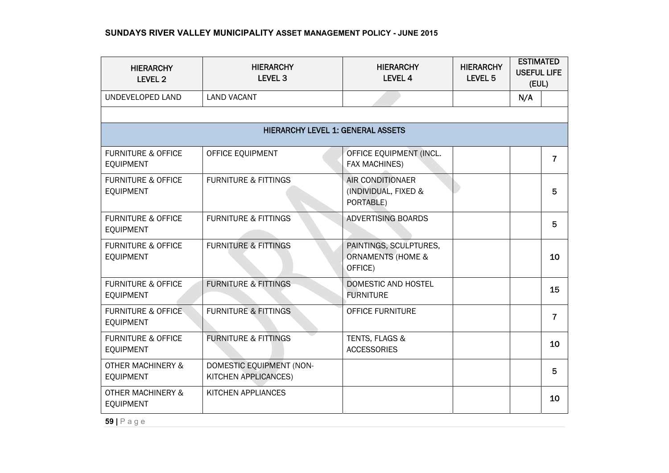| <b>HIERARCHY</b><br><b>LEVEL 2</b>                | <b>HIERARCHY</b><br>LEVEL <sub>3</sub>           | <b>HIERARCHY</b><br>LEVEL 4                                       | <b>HIERARCHY</b><br>LEVEL 5 | <b>ESTIMATED</b><br><b>USEFUL LIFE</b><br>(EUL) |    |
|---------------------------------------------------|--------------------------------------------------|-------------------------------------------------------------------|-----------------------------|-------------------------------------------------|----|
| UNDEVELOPED LAND                                  | <b>LAND VACANT</b>                               |                                                                   |                             | N/A                                             |    |
|                                                   |                                                  |                                                                   |                             |                                                 |    |
|                                                   | <b>HIERARCHY LEVEL 1: GENERAL ASSETS</b>         |                                                                   |                             |                                                 |    |
| <b>FURNITURE &amp; OFFICE</b><br><b>EQUIPMENT</b> | OFFICE EQUIPMENT                                 | OFFICE EQUIPMENT (INCL.<br>FAX MACHINES)                          |                             |                                                 | 7  |
| <b>FURNITURE &amp; OFFICE</b><br><b>EQUIPMENT</b> | <b>FURNITURE &amp; FITTINGS</b>                  | AIR CONDITIONAER<br>(INDIVIDUAL, FIXED &<br>PORTABLE)             |                             |                                                 | 5  |
| <b>FURNITURE &amp; OFFICE</b><br><b>EQUIPMENT</b> | <b>FURNITURE &amp; FITTINGS</b>                  | <b>ADVERTISING BOARDS</b>                                         |                             |                                                 | 5  |
| <b>FURNITURE &amp; OFFICE</b><br><b>EQUIPMENT</b> | <b>FURNITURE &amp; FITTINGS</b>                  | PAINTINGS, SCULPTURES,<br><b>ORNAMENTS (HOME &amp;</b><br>OFFICE) |                             |                                                 | 10 |
| <b>FURNITURE &amp; OFFICE</b><br><b>EQUIPMENT</b> | <b>FURNITURE &amp; FITTINGS</b>                  | <b>DOMESTIC AND HOSTEL</b><br><b>FURNITURE</b>                    |                             |                                                 | 15 |
| <b>FURNITURE &amp; OFFICE</b><br><b>EQUIPMENT</b> | <b>FURNITURE &amp; FITTINGS</b>                  | <b>OFFICE FURNITURE</b>                                           |                             |                                                 | 7  |
| <b>FURNITURE &amp; OFFICE</b><br><b>EQUIPMENT</b> | <b>FURNITURE &amp; FITTINGS</b>                  | TENTS, FLAGS &<br><b>ACCESSORIES</b>                              |                             |                                                 | 10 |
| <b>OTHER MACHINERY &amp;</b><br><b>EQUIPMENT</b>  | DOMESTIC EQUIPMENT (NON-<br>KITCHEN APPLICANCES) |                                                                   |                             |                                                 | 5  |
| <b>OTHER MACHINERY &amp;</b><br><b>EQUIPMENT</b>  | KITCHEN APPLIANCES                               |                                                                   |                             |                                                 | 10 |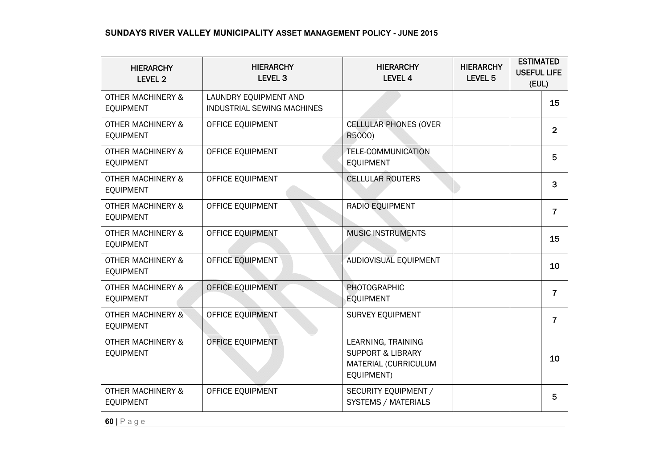| <b>HIERARCHY</b><br><b>LEVEL 2</b>               | <b>HIERARCHY</b><br><b>LEVEL 3</b>                  | <b>HIERARCHY</b><br>LEVEL 4                                                              | <b>HIERARCHY</b><br>LEVEL <sub>5</sub> | <b>ESTIMATED</b><br><b>USEFUL LIFE</b><br>(EUL) |                |
|--------------------------------------------------|-----------------------------------------------------|------------------------------------------------------------------------------------------|----------------------------------------|-------------------------------------------------|----------------|
| <b>OTHER MACHINERY &amp;</b><br><b>EQUIPMENT</b> | LAUNDRY EQUIPMENT AND<br>INDUSTRIAL SEWING MACHINES |                                                                                          |                                        |                                                 | 15             |
| <b>OTHER MACHINERY &amp;</b><br><b>EQUIPMENT</b> | OFFICE EQUIPMENT                                    | <b>CELLULAR PHONES (OVER</b><br>R5000)                                                   |                                        |                                                 | $\overline{2}$ |
| <b>OTHER MACHINERY &amp;</b><br><b>EQUIPMENT</b> | OFFICE EQUIPMENT                                    | <b>TELE-COMMUNICATION</b><br><b>EQUIPMENT</b>                                            |                                        |                                                 | 5              |
| <b>OTHER MACHINERY &amp;</b><br><b>EQUIPMENT</b> | OFFICE EQUIPMENT                                    | <b>CELLULAR ROUTERS</b>                                                                  |                                        |                                                 | 3              |
| <b>OTHER MACHINERY &amp;</b><br><b>EQUIPMENT</b> | OFFICE EQUIPMENT                                    | RADIO EQUIPMENT                                                                          |                                        |                                                 | $\overline{7}$ |
| <b>OTHER MACHINERY &amp;</b><br><b>EQUIPMENT</b> | OFFICE EQUIPMENT                                    | <b>MUSIC INSTRUMENTS</b>                                                                 |                                        |                                                 | 15             |
| <b>OTHER MACHINERY &amp;</b><br><b>EQUIPMENT</b> | OFFICE EQUIPMENT                                    | AUDIOVISUAL EQUIPMENT                                                                    |                                        |                                                 | 10             |
| <b>OTHER MACHINERY &amp;</b><br><b>EQUIPMENT</b> | OFFICE EQUIPMENT                                    | <b>PHOTOGRAPHIC</b><br><b>EQUIPMENT</b>                                                  |                                        |                                                 | $\overline{7}$ |
| <b>OTHER MACHINERY &amp;</b><br><b>EQUIPMENT</b> | OFFICE EQUIPMENT                                    | SURVEY EQUIPMENT                                                                         |                                        |                                                 | $\overline{7}$ |
| <b>OTHER MACHINERY &amp;</b><br><b>EQUIPMENT</b> | OFFICE EQUIPMENT                                    | LEARNING, TRAINING<br><b>SUPPORT &amp; LIBRARY</b><br>MATERIAL (CURRICULUM<br>EQUIPMENT) |                                        |                                                 | 10             |
| <b>OTHER MACHINERY &amp;</b><br>EQUIPMENT        | OFFICE EQUIPMENT                                    | SECURITY EQUIPMENT /<br>SYSTEMS / MATERIALS                                              |                                        |                                                 | 5              |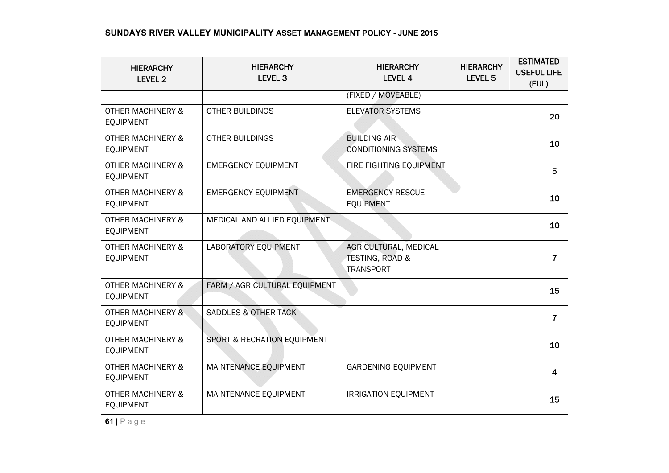| <b>HIERARCHY</b><br><b>LEVEL 2</b>               | <b>HIERARCHY</b><br>LEVEL <sub>3</sub> | <b>HIERARCHY</b><br><b>LEVEL 4</b>                                      | <b>HIERARCHY</b><br>LEVEL <sub>5</sub> | <b>ESTIMATED</b><br><b>USEFUL LIFE</b><br>(EUL) |                |
|--------------------------------------------------|----------------------------------------|-------------------------------------------------------------------------|----------------------------------------|-------------------------------------------------|----------------|
|                                                  |                                        | (FIXED / MOVEABLE)                                                      |                                        |                                                 |                |
| <b>OTHER MACHINERY &amp;</b><br><b>EQUIPMENT</b> | <b>OTHER BUILDINGS</b>                 | <b>ELEVATOR SYSTEMS</b>                                                 |                                        |                                                 | 20             |
| <b>OTHER MACHINERY &amp;</b><br><b>EQUIPMENT</b> | <b>OTHER BUILDINGS</b>                 | <b>BUILDING AIR</b><br><b>CONDITIONING SYSTEMS</b>                      |                                        |                                                 | 10             |
| <b>OTHER MACHINERY &amp;</b><br><b>EQUIPMENT</b> | <b>EMERGENCY EQUIPMENT</b>             | FIRE FIGHTING EQUIPMENT                                                 |                                        |                                                 | 5              |
| <b>OTHER MACHINERY &amp;</b><br><b>EQUIPMENT</b> | <b>EMERGENCY EQUIPMENT</b>             | <b>EMERGENCY RESCUE</b><br><b>EQUIPMENT</b>                             |                                        |                                                 | 10             |
| <b>OTHER MACHINERY &amp;</b><br><b>EQUIPMENT</b> | MEDICAL AND ALLIED EQUIPMENT           |                                                                         |                                        |                                                 | 10             |
| <b>OTHER MACHINERY &amp;</b><br><b>EQUIPMENT</b> | LABORATORY EQUIPMENT                   | AGRICULTURAL, MEDICAL<br><b>TESTING, ROAD &amp;</b><br><b>TRANSPORT</b> |                                        |                                                 | $\overline{7}$ |
| <b>OTHER MACHINERY &amp;</b><br><b>EQUIPMENT</b> | FARM / AGRICULTURAL EQUIPMENT          |                                                                         |                                        |                                                 | 15             |
| <b>OTHER MACHINERY &amp;</b><br><b>EQUIPMENT</b> | <b>SADDLES &amp; OTHER TACK</b>        |                                                                         |                                        |                                                 | $\overline{7}$ |
| <b>OTHER MACHINERY &amp;</b><br><b>EQUIPMENT</b> | SPORT & RECRATION EQUIPMENT            |                                                                         |                                        |                                                 | 10             |
| <b>OTHER MACHINERY &amp;</b><br><b>EQUIPMENT</b> | MAINTENANCE EQUIPMENT                  | <b>GARDENING EQUIPMENT</b>                                              |                                        |                                                 | 4              |
| <b>OTHER MACHINERY &amp;</b><br><b>EQUIPMENT</b> | MAINTENANCE EQUIPMENT                  | <b>IRRIGATION EQUIPMENT</b>                                             |                                        |                                                 | 15             |
| $61$   Page                                      |                                        |                                                                         |                                        |                                                 |                |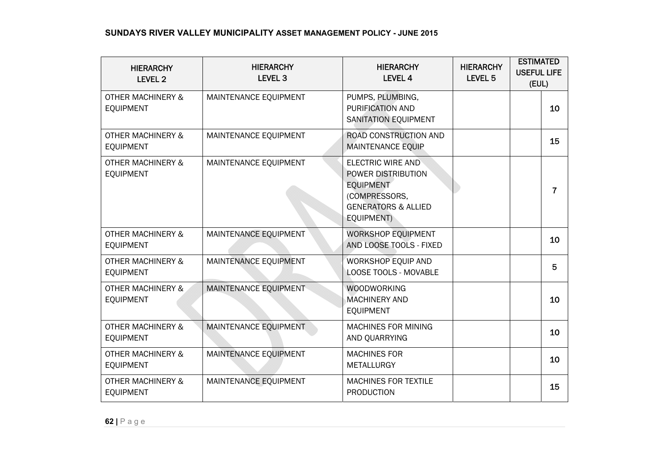| <b>HIERARCHY</b><br>LEVEL 2                      | <b>HIERARCHY</b><br><b>LEVEL 3</b> | <b>HIERARCHY</b><br><b>LEVEL 4</b>                                                                                                  | <b>HIERARCHY</b><br>LEVEL <sub>5</sub> | <b>ESTIMATED</b><br><b>USEFUL LIFE</b><br>(EUL) |                |
|--------------------------------------------------|------------------------------------|-------------------------------------------------------------------------------------------------------------------------------------|----------------------------------------|-------------------------------------------------|----------------|
| <b>OTHER MACHINERY &amp;</b><br><b>EQUIPMENT</b> | MAINTENANCE EQUIPMENT              | PUMPS, PLUMBING,<br>PURIFICATION AND<br>SANITATION EQUIPMENT                                                                        |                                        |                                                 | 10             |
| <b>OTHER MACHINERY &amp;</b><br><b>EQUIPMENT</b> | MAINTENANCE EQUIPMENT              | ROAD CONSTRUCTION AND<br><b>MAINTENANCE EQUIP</b>                                                                                   |                                        |                                                 | 15             |
| <b>OTHER MACHINERY &amp;</b><br><b>EQUIPMENT</b> | MAINTENANCE EQUIPMENT              | <b>ELECTRIC WIRE AND</b><br>POWER DISTRIBUTION<br><b>EQUIPMENT</b><br>(COMPRESSORS,<br><b>GENERATORS &amp; ALLIED</b><br>EQUIPMENT) |                                        |                                                 | $\overline{7}$ |
| <b>OTHER MACHINERY &amp;</b><br><b>EQUIPMENT</b> | MAINTENANCE EQUIPMENT              | WORKSHOP EQUIPMENT<br>AND LOOSE TOOLS - FIXED                                                                                       |                                        |                                                 | 10             |
| <b>OTHER MACHINERY &amp;</b><br><b>EQUIPMENT</b> | MAINTENANCE EQUIPMENT              | WORKSHOP EQUIP AND<br>LOOSE TOOLS - MOVABLE                                                                                         |                                        |                                                 | 5              |
| <b>OTHER MACHINERY &amp;</b><br><b>EQUIPMENT</b> | MAINTENANCE EQUIPMENT              | <b>WOODWORKING</b><br><b>MACHINERY AND</b><br><b>EOUIPMENT</b>                                                                      |                                        |                                                 | 10             |
| <b>OTHER MACHINERY &amp;</b><br><b>EQUIPMENT</b> | MAINTENANCE EQUIPMENT              | MACHINES FOR MINING<br>AND QUARRYING                                                                                                |                                        |                                                 | 10             |
| <b>OTHER MACHINERY &amp;</b><br><b>EQUIPMENT</b> | MAINTENANCE EQUIPMENT              | <b>MACHINES FOR</b><br><b>METALLURGY</b>                                                                                            |                                        |                                                 | 10             |
| <b>OTHER MACHINERY &amp;</b><br><b>EQUIPMENT</b> | MAINTENANCE EQUIPMENT              | <b>MACHINES FOR TEXTILE</b><br><b>PRODUCTION</b>                                                                                    |                                        |                                                 | 15             |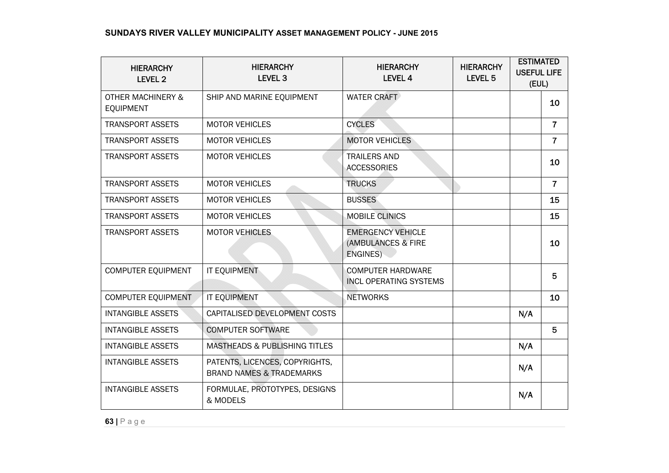| <b>HIERARCHY</b><br>LEVEL 2                      | <b>HIERARCHY</b><br><b>LEVEL 3</b>                                    | <b>HIERARCHY</b><br><b>LEVEL 4</b>                         | <b>HIERARCHY</b><br>LEVEL <sub>5</sub> | <b>ESTIMATED</b><br><b>USEFUL LIFE</b><br>(EUL) |                |
|--------------------------------------------------|-----------------------------------------------------------------------|------------------------------------------------------------|----------------------------------------|-------------------------------------------------|----------------|
| <b>OTHER MACHINERY &amp;</b><br><b>EQUIPMENT</b> | SHIP AND MARINE EQUIPMENT                                             | <b>WATER CRAFT</b>                                         |                                        |                                                 | 10             |
| <b>TRANSPORT ASSETS</b>                          | <b>MOTOR VEHICLES</b>                                                 | <b>CYCLES</b>                                              |                                        |                                                 | $\overline{7}$ |
| <b>TRANSPORT ASSETS</b>                          | <b>MOTOR VEHICLES</b>                                                 | <b>MOTOR VEHICLES</b>                                      |                                        |                                                 | $\overline{7}$ |
| <b>TRANSPORT ASSETS</b>                          | <b>MOTOR VEHICLES</b>                                                 | <b>TRAILERS AND</b><br><b>ACCESSORIES</b>                  |                                        |                                                 | 10             |
| <b>TRANSPORT ASSETS</b>                          | <b>MOTOR VEHICLES</b>                                                 | <b>TRUCKS</b>                                              |                                        |                                                 | $\overline{7}$ |
| <b>TRANSPORT ASSETS</b>                          | <b>MOTOR VEHICLES</b>                                                 | <b>BUSSES</b>                                              |                                        |                                                 | 15             |
| <b>TRANSPORT ASSETS</b>                          | <b>MOTOR VEHICLES</b>                                                 | <b>MOBILE CLINICS</b>                                      |                                        |                                                 | 15             |
| <b>TRANSPORT ASSETS</b>                          | <b>MOTOR VEHICLES</b>                                                 | <b>EMERGENCY VEHICLE</b><br>(AMBULANCES & FIRE<br>ENGINES) |                                        |                                                 | 10             |
| <b>COMPUTER EQUIPMENT</b>                        | IT EQUIPMENT                                                          | <b>COMPUTER HARDWARE</b><br><b>INCL OPERATING SYSTEMS</b>  |                                        |                                                 | 5              |
| COMPUTER EQUIPMENT                               | IT EQUIPMENT                                                          | <b>NETWORKS</b>                                            |                                        |                                                 | 10             |
| <b>INTANGIBLE ASSETS</b>                         | CAPITALISED DEVELOPMENT COSTS                                         |                                                            |                                        | N/A                                             |                |
| <b>INTANGIBLE ASSETS</b>                         | <b>COMPUTER SOFTWARE</b>                                              |                                                            |                                        |                                                 | 5              |
| <b>INTANGIBLE ASSETS</b>                         | <b>MASTHEADS &amp; PUBLISHING TITLES</b>                              |                                                            |                                        | N/A                                             |                |
| <b>INTANGIBLE ASSETS</b>                         | PATENTS, LICENCES, COPYRIGHTS,<br><b>BRAND NAMES &amp; TRADEMARKS</b> |                                                            |                                        | N/A                                             |                |
| <b>INTANGIBLE ASSETS</b>                         | FORMULAE, PROTOTYPES, DESIGNS<br>& MODELS                             |                                                            |                                        | N/A                                             |                |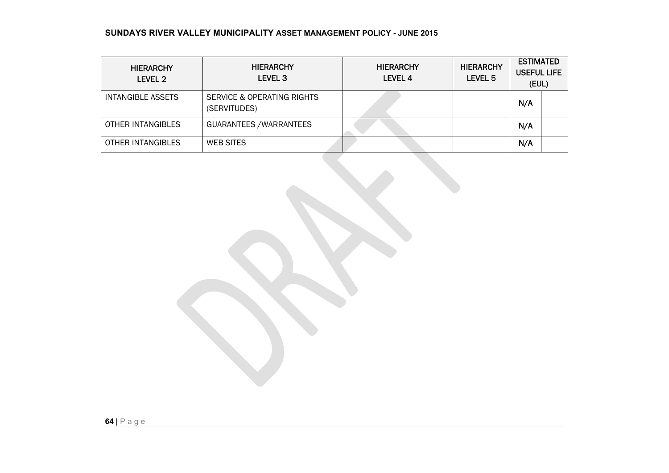| <b>HIERARCHY</b><br>LEVEL 2 | <b>HIERARCHY</b><br>LEVEL <sub>3</sub>     | <b>HIERARCHY</b><br>LEVEL 4 | <b>HIERARCHY</b><br>LEVEL 5 | <b>ESTIMATED</b><br><b>USEFUL LIFE</b><br>(EUL) |
|-----------------------------|--------------------------------------------|-----------------------------|-----------------------------|-------------------------------------------------|
| INTANGIBLE ASSETS           | SERVICE & OPERATING RIGHTS<br>(SERVITUDES) |                             |                             | N/A                                             |
| OTHER INTANGIBLES           | GUARANTEES / WARRANTEES                    |                             |                             | N/A                                             |
| OTHER INTANGIBLES           | <b>WEB SITES</b>                           |                             |                             | N/A                                             |